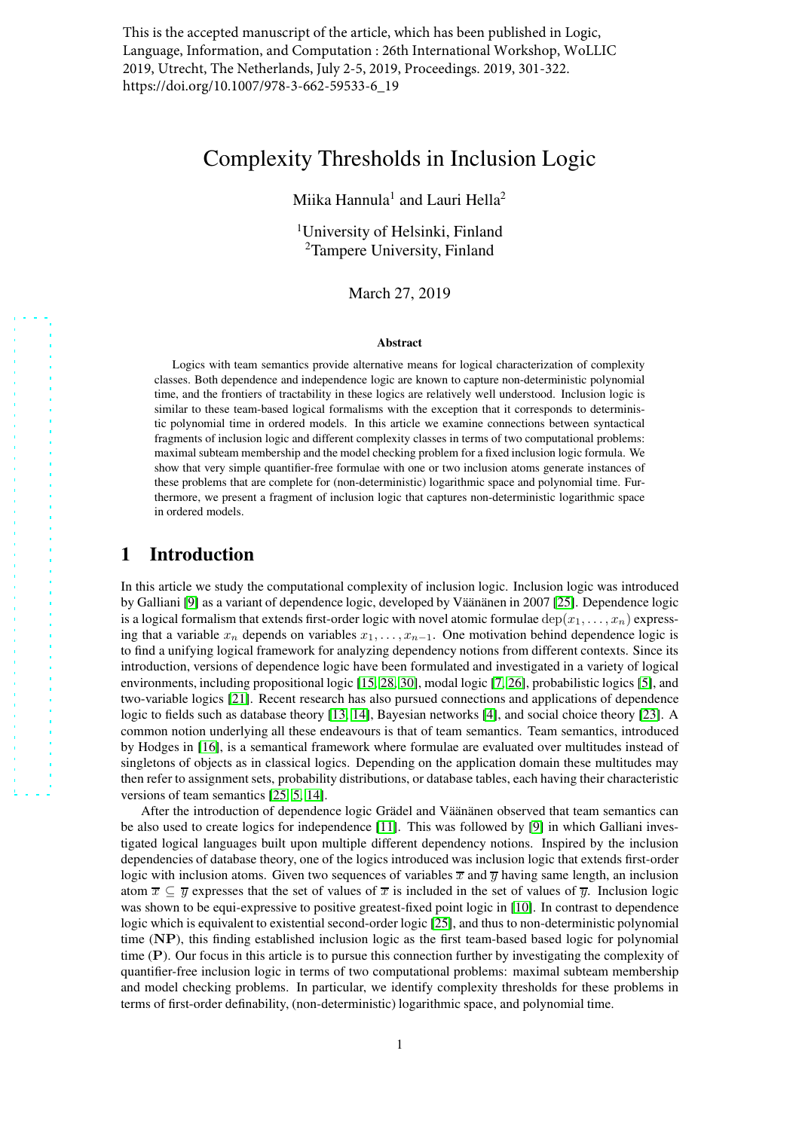This is the accepted manuscript of the article, which has been published in Logic, Language, Information, and Computation : 26th International Workshop, WoLLIC 2019, Utrecht, The Netherlands, July 2-5, 2019, Proceedings. 2019, 301-322. https://doi.org/10.1007/978-3-662-59533-6\_19

# Complexity Thresholds in Inclusion Logic

Miika Hannula<sup>1</sup> and Lauri Hella<sup>2</sup>

<sup>1</sup>University of Helsinki, Finland <sup>2</sup>Tampere University, Finland

March 27, 2019

#### Abstract

Logics with team semantics provide alternative means for logical characterization of complexity classes. Both dependence and independence logic are known to capture non-deterministic polynomial time, and the frontiers of tractability in these logics are relatively well understood. Inclusion logic is similar to these team-based logical formalisms with the exception that it corresponds to deterministic polynomial time in ordered models. In this article we examine connections between syntactical fragments of inclusion logic and different complexity classes in terms of two computational problems: maximal subteam membership and the model checking problem for a fixed inclusion logic formula. We show that very simple quantifier-free formulae with one or two inclusion atoms generate instances of these problems that are complete for (non-deterministic) logarithmic space and polynomial time. Furthermore, we present a fragment of inclusion logic that captures non-deterministic logarithmic space in ordered models.

# 1 Introduction

In this article we study the computational complexity of inclusion logic. Inclusion logic was introduced by Galliani [\[9\]](#page-16-0) as a variant of dependence logic, developed by Väänänen in 2007 [\[25\]](#page-18-0). Dependence logic is a logical formalism that extends first-order logic with novel atomic formulae dep( $x_1, \ldots, x_n$ ) expressing that a variable  $x_n$  depends on variables  $x_1, \ldots, x_{n-1}$ . One motivation behind dependence logic is to find a unifying logical framework for analyzing dependency notions from different contexts. Since its introduction, versions of dependence logic have been formulated and investigated in a variety of logical environments, including propositional logic [\[15,](#page-17-0) [28,](#page-18-1) [30\]](#page-18-2), modal logic [\[7,](#page-16-1) [26\]](#page-18-3), probabilistic logics [\[5\]](#page-16-2), and two-variable logics [\[21\]](#page-17-1). Recent research has also pursued connections and applications of dependence logic to fields such as database theory [\[13,](#page-17-2) [14\]](#page-17-3), Bayesian networks [\[4\]](#page-16-3), and social choice theory [\[23\]](#page-17-4). A common notion underlying all these endeavours is that of team semantics. Team semantics, introduced by Hodges in [\[16\]](#page-17-5), is a semantical framework where formulae are evaluated over multitudes instead of singletons of objects as in classical logics. Depending on the application domain these multitudes may then refer to assignment sets, probability distributions, or database tables, each having their characteristic versions of team semantics [\[25,](#page-18-0) [5,](#page-16-2) [14\]](#page-17-3).

After the introduction of dependence logic Grädel and Väänänen observed that team semantics can be also used to create logics for independence [\[11\]](#page-17-6). This was followed by [\[9\]](#page-16-0) in which Galliani investigated logical languages built upon multiple different dependency notions. Inspired by the inclusion dependencies of database theory, one of the logics introduced was inclusion logic that extends first-order logic with inclusion atoms. Given two sequences of variables  $\overline{x}$  and  $\overline{y}$  having same length, an inclusion atom  $\overline{x} \subseteq \overline{y}$  expresses that the set of values of  $\overline{x}$  is included in the set of values of  $\overline{y}$ . Inclusion logic was shown to be equi-expressive to positive greatest-fixed point logic in [\[10\]](#page-16-4). In contrast to dependence logic which is equivalent to existential second-order logic [\[25\]](#page-18-0), and thus to non-deterministic polynomial time (NP), this finding established inclusion logic as the first team-based based logic for polynomial time (P). Our focus in this article is to pursue this connection further by investigating the complexity of quantifier-free inclusion logic in terms of two computational problems: maximal subteam membership and model checking problems. In particular, we identify complexity thresholds for these problems in terms of first-order definability, (non-deterministic) logarithmic space, and polynomial time.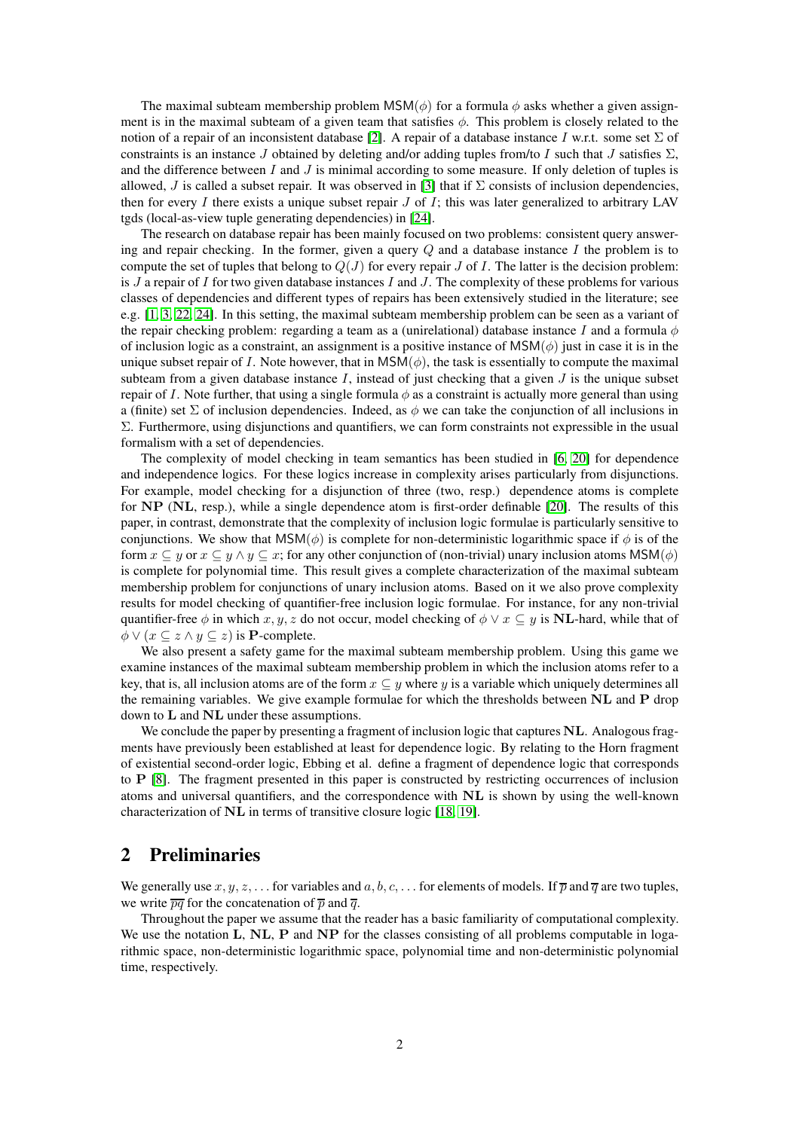The maximal subteam membership problem MSM( $\phi$ ) for a formula  $\phi$  asks whether a given assignment is in the maximal subteam of a given team that satisfies  $\phi$ . This problem is closely related to the notion of a repair of an inconsistent database [\[2\]](#page-16-5). A repair of a database instance I w.r.t. some set  $\Sigma$  of constraints is an instance J obtained by deleting and/or adding tuples from/to I such that J satisfies  $\Sigma$ , and the difference between  $I$  and  $J$  is minimal according to some measure. If only deletion of tuples is allowed, J is called a subset repair. It was observed in [\[3\]](#page-16-6) that if  $\Sigma$  consists of inclusion dependencies, then for every I there exists a unique subset repair J of I; this was later generalized to arbitrary LAV tgds (local-as-view tuple generating dependencies) in [\[24\]](#page-18-4).

The research on database repair has been mainly focused on two problems: consistent query answering and repair checking. In the former, given a query  $Q$  and a database instance I the problem is to compute the set of tuples that belong to  $Q(J)$  for every repair J of I. The latter is the decision problem: is  $J$  a repair of  $I$  for two given database instances  $I$  and  $J$ . The complexity of these problems for various classes of dependencies and different types of repairs has been extensively studied in the literature; see e.g. [\[1,](#page-16-7) [3,](#page-16-6) [22,](#page-17-7) [24\]](#page-18-4). In this setting, the maximal subteam membership problem can be seen as a variant of the repair checking problem: regarding a team as a (unirelational) database instance I and a formula  $\phi$ of inclusion logic as a constraint, an assignment is a positive instance of  $MSM(\phi)$  just in case it is in the unique subset repair of I. Note however, that in  $MSM(\phi)$ , the task is essentially to compute the maximal subteam from a given database instance  $I$ , instead of just checking that a given  $J$  is the unique subset repair of I. Note further, that using a single formula  $\phi$  as a constraint is actually more general than using a (finite) set  $\Sigma$  of inclusion dependencies. Indeed, as  $\phi$  we can take the conjunction of all inclusions in Σ. Furthermore, using disjunctions and quantifiers, we can form constraints not expressible in the usual formalism with a set of dependencies.

The complexity of model checking in team semantics has been studied in [\[6,](#page-16-8) [20\]](#page-17-8) for dependence and independence logics. For these logics increase in complexity arises particularly from disjunctions. For example, model checking for a disjunction of three (two, resp.) dependence atoms is complete for NP (NL, resp.), while a single dependence atom is first-order definable [\[20\]](#page-17-8). The results of this paper, in contrast, demonstrate that the complexity of inclusion logic formulae is particularly sensitive to conjunctions. We show that  $MSM(\phi)$  is complete for non-deterministic logarithmic space if  $\phi$  is of the form  $x \subseteq y$  or  $x \subseteq y \land y \subseteq x$ ; for any other conjunction of (non-trivial) unary inclusion atoms MSM( $\phi$ ) is complete for polynomial time. This result gives a complete characterization of the maximal subteam membership problem for conjunctions of unary inclusion atoms. Based on it we also prove complexity results for model checking of quantifier-free inclusion logic formulae. For instance, for any non-trivial quantifier-free  $\phi$  in which  $x, y, z$  do not occur, model checking of  $\phi \lor x \subseteq y$  is **NL**-hard, while that of  $\phi \vee (x \subseteq z \wedge y \subseteq z)$  is **P**-complete.

We also present a safety game for the maximal subteam membership problem. Using this game we examine instances of the maximal subteam membership problem in which the inclusion atoms refer to a key, that is, all inclusion atoms are of the form  $x \subseteq y$  where y is a variable which uniquely determines all the remaining variables. We give example formulae for which the thresholds between NL and P drop down to L and NL under these assumptions.

We conclude the paper by presenting a fragment of inclusion logic that captures NL. Analogous fragments have previously been established at least for dependence logic. By relating to the Horn fragment of existential second-order logic, Ebbing et al. define a fragment of dependence logic that corresponds to P [\[8\]](#page-16-9). The fragment presented in this paper is constructed by restricting occurrences of inclusion atoms and universal quantifiers, and the correspondence with NL is shown by using the well-known characterization of NL in terms of transitive closure logic [\[18,](#page-17-9) [19\]](#page-17-10).

# 2 Preliminaries

We generally use  $x, y, z, \ldots$  for variables and  $a, b, c, \ldots$  for elements of models. If  $\bar{p}$  and  $\bar{q}$  are two tuples, we write  $\overline{pq}$  for the concatenation of  $\overline{p}$  and  $\overline{q}$ .

Throughout the paper we assume that the reader has a basic familiarity of computational complexity. We use the notation L, NL, P and NP for the classes consisting of all problems computable in logarithmic space, non-deterministic logarithmic space, polynomial time and non-deterministic polynomial time, respectively.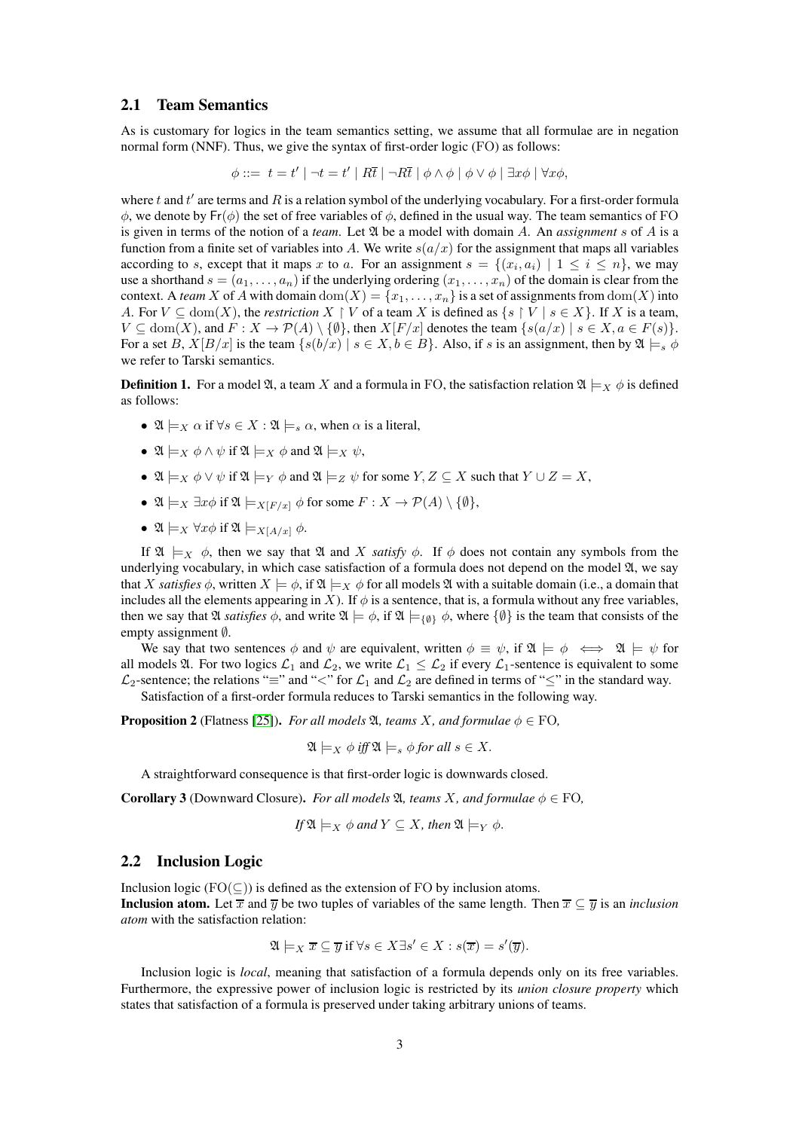### 2.1 Team Semantics

As is customary for logics in the team semantics setting, we assume that all formulae are in negation normal form (NNF). Thus, we give the syntax of first-order logic (FO) as follows:

$$
\phi ::= t = t' | \neg t = t' | R\overline{t} | \neg R\overline{t} | \phi \wedge \phi | \phi \vee \phi | \exists x \phi | \forall x \phi,
$$

where  $t$  and  $t'$  are terms and  $R$  is a relation symbol of the underlying vocabulary. For a first-order formula  $\phi$ , we denote by Fr( $\phi$ ) the set of free variables of  $\phi$ , defined in the usual way. The team semantics of FO is given in terms of the notion of a *team*. Let A be a model with domain A. An *assignment* s of A is a function from a finite set of variables into A. We write  $s(a/x)$  for the assignment that maps all variables according to s, except that it maps x to a. For an assignment  $s = \{(x_i, a_i) \mid 1 \leq i \leq n\}$ , we may use a shorthand  $s = (a_1, \ldots, a_n)$  if the underlying ordering  $(x_1, \ldots, x_n)$  of the domain is clear from the context. A *team* X of A with domain  $dom(X) = \{x_1, \ldots, x_n\}$  is a set of assignments from  $dom(X)$  into A. For  $V \subseteq \text{dom}(X)$ , the *restriction*  $X \restriction V$  of a team X is defined as  $\{s \restriction V \mid s \in X\}$ . If X is a team,  $V \subseteq \text{dom}(X)$ , and  $F: X \to \mathcal{P}(A) \setminus \{ \emptyset \}$ , then  $X[F/x]$  denotes the team  $\{ s(a/x) \mid s \in X, a \in F(s) \}$ . For a set B,  $X[B/x]$  is the team  $\{s(b/x) \mid s \in X, b \in B\}$ . Also, if s is an assignment, then by  $\mathfrak{A} \models_s \phi$ we refer to Tarski semantics.

**Definition 1.** For a model  $\mathfrak{A}$ , a team X and a formula in FO, the satisfaction relation  $\mathfrak{A} \models_X \phi$  is defined as follows:

- $\mathfrak{A} \models_X \alpha$  if  $\forall s \in X : \mathfrak{A} \models_s \alpha$ , when  $\alpha$  is a literal,
- $\mathfrak{A} \models_{X} \phi \land \psi$  if  $\mathfrak{A} \models_{X} \phi$  and  $\mathfrak{A} \models_{X} \psi$ .
- $\mathfrak{A} \models_X \phi \lor \psi$  if  $\mathfrak{A} \models_Y \phi$  and  $\mathfrak{A} \models_Z \psi$  for some  $Y, Z \subseteq X$  such that  $Y \cup Z = X$ ,
- $\mathfrak{A} \models_X \exists x \phi \text{ if } \mathfrak{A} \models_{X[F/x]} \phi \text{ for some } F : X \to \mathcal{P}(A) \setminus \{\emptyset\},\$
- $\mathfrak{A} \models_X \forall x \phi \text{ if } \mathfrak{A} \models_X [A/x] \phi.$

If  $\mathfrak{A} \models_X \phi$ , then we say that  $\mathfrak{A}$  and X *satisfy*  $\phi$ . If  $\phi$  does not contain any symbols from the underlying vocabulary, in which case satisfaction of a formula does not depend on the model  $\mathfrak{A}$ , we say that X *satisfies*  $\phi$ , written  $X \models \phi$ , if  $\mathfrak{A} \models_X \phi$  for all models  $\mathfrak{A}$  with a suitable domain (i.e., a domain that includes all the elements appearing in X). If  $\phi$  is a sentence, that is, a formula without any free variables, then we say that  $\mathfrak A$  *satisfies*  $\phi$ , and write  $\mathfrak A \models \phi$ , if  $\mathfrak A \models_{\{0\}} \phi$ , where  $\{\emptyset\}$  is the team that consists of the empty assignment ∅.

We say that two sentences  $\phi$  and  $\psi$  are equivalent, written  $\phi \equiv \psi$ , if  $\mathfrak{A} \models \phi \iff \mathfrak{A} \models \psi$  for all models  $\mathfrak{A}$ . For two logics  $\mathcal{L}_1$  and  $\mathcal{L}_2$ , we write  $\mathcal{L}_1 \leq \mathcal{L}_2$  if every  $\mathcal{L}_1$ -sentence is equivalent to some  $\mathcal{L}_2$ -sentence; the relations " $\equiv$ " and " $\lt$ " for  $\mathcal{L}_1$  and  $\mathcal{L}_2$  are defined in terms of " $\leq$ " in the standard way. Satisfaction of a first-order formula reduces to Tarski semantics in the following way.

**Proposition 2** (Flatness [\[25\]](#page-18-0)). *For all models*  $\mathfrak{A}$ *, teams X, and formulae*  $\phi \in \text{FO}$ *,* 

$$
\mathfrak{A}\models_X \phi \text{ iff } \mathfrak{A}\models_s \phi \text{ for all } s \in X.
$$

A straightforward consequence is that first-order logic is downwards closed.

<span id="page-2-0"></span>**Corollary 3** (Downward Closure). *For all models*  $\mathfrak{A}$ *, teams X, and formulae*  $\phi \in \text{FO}$ *,* 

If 
$$
\mathfrak{A} \models_X \phi
$$
 and  $Y \subseteq X$ , then  $\mathfrak{A} \models_Y \phi$ .

#### 2.2 Inclusion Logic

Inclusion logic ( $FO(\subseteq)$ ) is defined as the extension of FO by inclusion atoms.

**Inclusion atom.** Let  $\overline{x}$  and  $\overline{y}$  be two tuples of variables of the same length. Then  $\overline{x} \subset \overline{y}$  is an *inclusion atom* with the satisfaction relation:

$$
\mathfrak{A}\models_X \overline{x}\subseteq \overline{y} \text{ if } \forall s\in X\exists s'\in X: s(\overline{x})=s'(\overline{y}).
$$

Inclusion logic is *local*, meaning that satisfaction of a formula depends only on its free variables. Furthermore, the expressive power of inclusion logic is restricted by its *union closure property* which states that satisfaction of a formula is preserved under taking arbitrary unions of teams.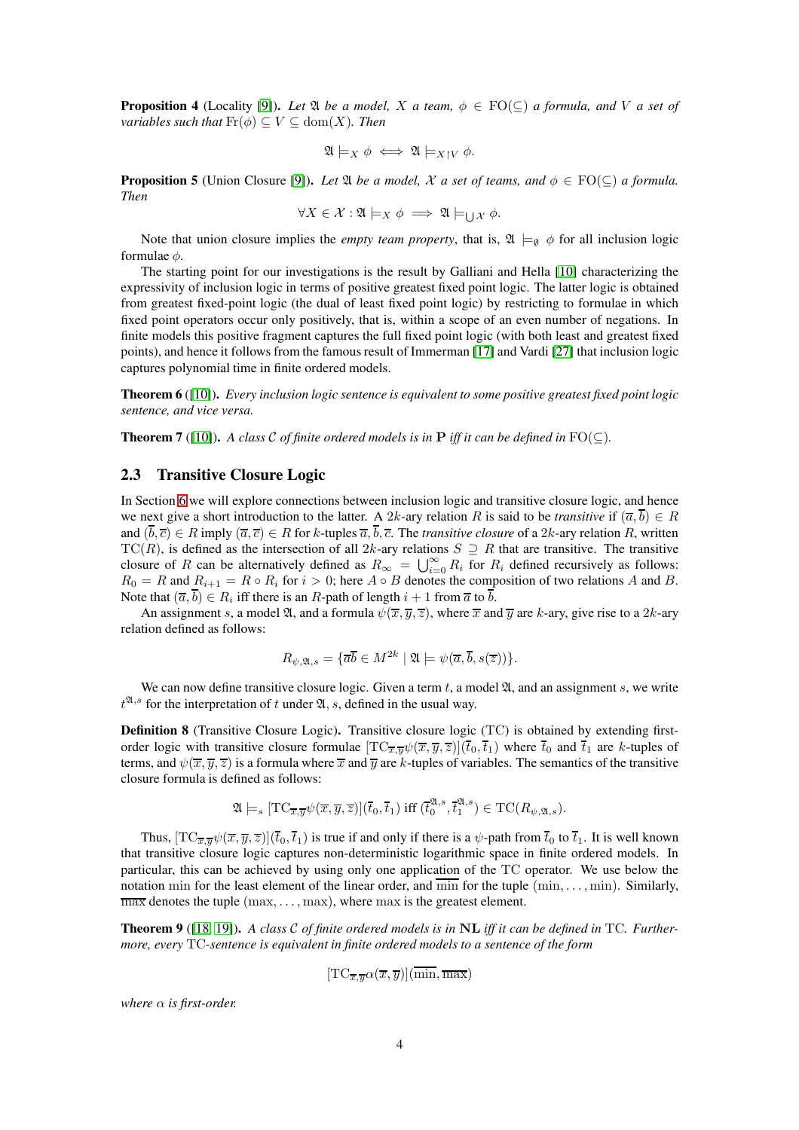<span id="page-3-0"></span>**Proposition 4** (Locality [\[9\]](#page-16-0)). Let  $\mathfrak{A}$  be a model, X a team,  $\phi \in \text{FO}(\subseteq)$  a formula, and V a set of *variables such that*  $\text{Fr}(\phi) \subseteq V \subseteq \text{dom}(X)$ *. Then* 

$$
\mathfrak{A}\models_X \phi \iff \mathfrak{A}\models_{X\upharpoonright V}\phi.
$$

**Proposition 5** (Union Closure [\[9\]](#page-16-0)). Let  $\mathfrak A$  *be a model,*  $\mathcal X$  *a set of teams, and*  $\phi \in \mathrm{FO}(\subseteq)$  *a formula. Then*

$$
\forall X \in \mathcal{X} : \mathfrak{A} \models_X \phi \implies \mathfrak{A} \models_{\bigcup \mathcal{X}} \phi.
$$

Note that union closure implies the *empty team property*, that is,  $\mathfrak{A} \models_{\emptyset} \phi$  for all inclusion logic formulae  $\phi$ .

The starting point for our investigations is the result by Galliani and Hella [\[10\]](#page-16-4) characterizing the expressivity of inclusion logic in terms of positive greatest fixed point logic. The latter logic is obtained from greatest fixed-point logic (the dual of least fixed point logic) by restricting to formulae in which fixed point operators occur only positively, that is, within a scope of an even number of negations. In finite models this positive fragment captures the full fixed point logic (with both least and greatest fixed points), and hence it follows from the famous result of Immerman [\[17\]](#page-17-11) and Vardi [\[27\]](#page-18-5) that inclusion logic captures polynomial time in finite ordered models.

Theorem 6 ([\[10\]](#page-16-4)). *Every inclusion logic sentence is equivalent to some positive greatest fixed point logic sentence, and vice versa.*

<span id="page-3-1"></span>**Theorem 7** ([\[10\]](#page-16-4)). *A class*  $\mathcal{C}$  *of finite ordered models is in* **P** *iff it can be defined in*  $FO(\subset)$ *.* 

### 2.3 Transitive Closure Logic

In Section [6](#page-13-0) we will explore connections between inclusion logic and transitive closure logic, and hence we next give a short introduction to the latter. A 2k-ary relation R is said to be *transitive* if  $(\overline{a}, \overline{b}) \in R$ and  $(\overline{b}, \overline{c}) \in R$  imply  $(\overline{a}, \overline{c}) \in R$  for k-tuples  $\overline{a}, \overline{b}, \overline{c}$ . The *transitive closure* of a 2k-ary relation R, written  $TC(R)$ , is defined as the intersection of all 2k-ary relations  $S \supseteq R$  that are transitive. The transitive closure of R can be alternatively defined as  $R_{\infty} = \bigcup_{i=0}^{\infty} R_i$  for  $R_i$  defined recursively as follows:  $R_0 = R$  and  $R_{i+1} = R \circ R_i$  for  $i > 0$ ; here  $A \circ B$  denotes the composition of two relations A and B. Note that  $(\overline{a}, b) \in R_i$  iff there is an R-path of length  $i + 1$  from  $\overline{a}$  to b.

An assignment s, a model  $\mathfrak{A}$ , and a formula  $\psi(\overline{x}, \overline{y}, \overline{z})$ , where  $\overline{x}$  and  $\overline{y}$  are k-ary, give rise to a 2k-ary relation defined as follows:

$$
R_{\psi,\mathfrak{A},s} = \{ \overline{ab} \in M^{2k} \mid \mathfrak{A} \models \psi(\overline{a}, \overline{b}, s(\overline{z})) \}.
$$

We can now define transitive closure logic. Given a term  $t$ , a model  $\mathfrak{A}$ , and an assignment s, we write  $t^{\mathfrak{A},s}$  for the interpretation of t under  $\mathfrak{A}, s$ , defined in the usual way.

Definition 8 (Transitive Closure Logic). Transitive closure logic (TC) is obtained by extending firstorder logic with transitive closure formulae  $[TC_{\overline{x},\overline{y}}\psi(\overline{x},\overline{y},\overline{z})](\overline{t}_0,\overline{t}_1)$  where  $\overline{t}_0$  and  $\overline{t}_1$  are k-tuples of terms, and  $\psi(\overline{x}, \overline{y}, \overline{z})$  is a formula where  $\overline{x}$  and  $\overline{y}$  are k-tuples of variables. The semantics of the transitive closure formula is defined as follows:

$$
\mathfrak{A}\models_s [\mathrm{TC}_{\overline{x},\overline{y}}\psi(\overline{x},\overline{y},\overline{z})](\overline{t}_0,\overline{t}_1) \text{ iff } (\overline{t}_0^{\mathfrak{A},s},\overline{t}_1^{\mathfrak{A},s})\in \mathrm{TC}(R_{\psi,\mathfrak{A},s}).
$$

Thus,  $[TC_{\overline{x},\overline{y}}\psi(\overline{x},\overline{y},\overline{z})](\overline{t}_0,\overline{t}_1)$  is true if and only if there is a  $\psi$ -path from  $\overline{t}_0$  to  $\overline{t}_1$ . It is well known that transitive closure logic captures non-deterministic logarithmic space in finite ordered models. In particular, this can be achieved by using only one application of the TC operator. We use below the notation min for the least element of the linear order, and  $\overline{\min}$  for the tuple  $(\min, \ldots, \min)$ . Similarly,  $\overline{\text{max}}$  denotes the tuple  $(\text{max}, \dots, \text{max})$ , where  $\text{max}$  is the greatest element.

<span id="page-3-2"></span>Theorem 9 ([\[18,](#page-17-9) [19\]](#page-17-10)). *A class* C *of finite ordered models is in* NL *iff it can be defined in* TC*. Furthermore, every* TC*-sentence is equivalent in finite ordered models to a sentence of the form*

$$
[\text{TC}_{\overline{x},\overline{y}}\alpha(\overline{x},\overline{y})](\overline{\min},\overline{\max})
$$

*where*  $\alpha$  *is first-order.*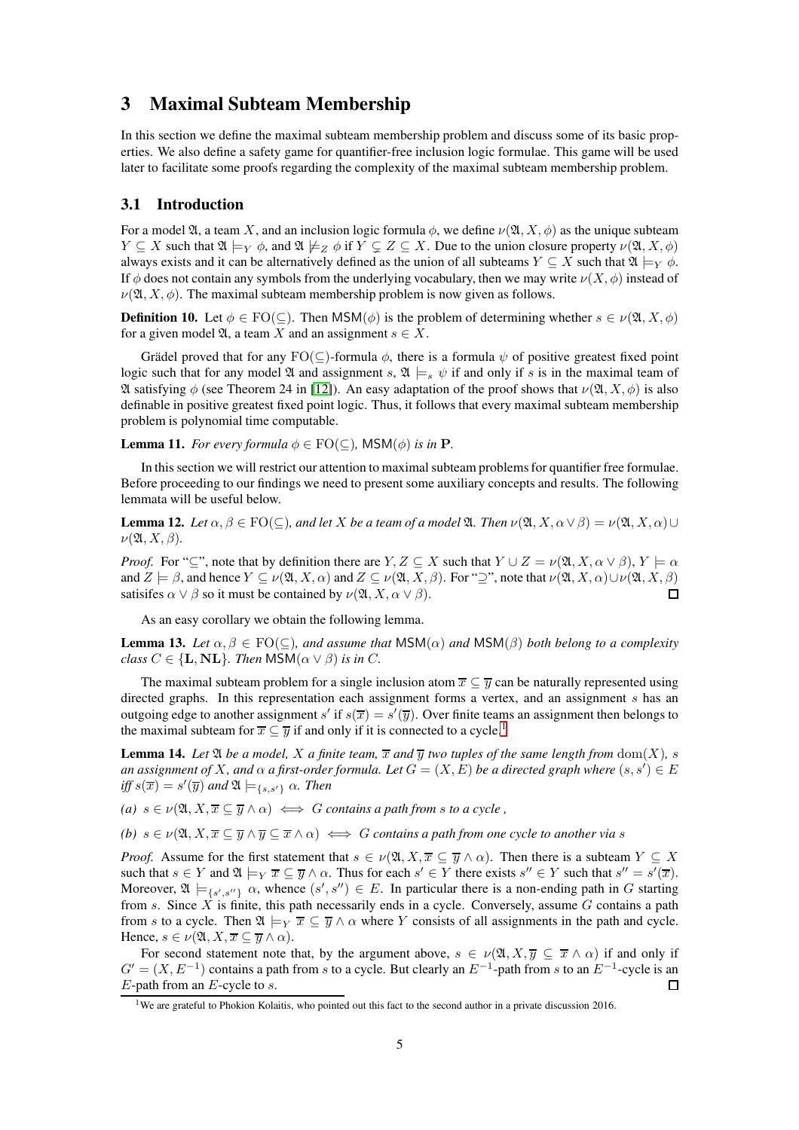# 3 Maximal Subteam Membership

In this section we define the maximal subteam membership problem and discuss some of its basic properties. We also define a safety game for quantifier-free inclusion logic formulae. This game will be used later to facilitate some proofs regarding the complexity of the maximal subteam membership problem.

### 3.1 Introduction

For a model  $\mathfrak{A}$ , a team X, and an inclusion logic formula  $\phi$ , we define  $\nu(\mathfrak{A}, X, \phi)$  as the unique subteam  $Y \subseteq X$  such that  $\mathfrak{A} \models_Y \phi$ , and  $\mathfrak{A} \not\models_Z \phi$  if  $Y \subsetneq Z \subseteq X$ . Due to the union closure property  $\nu(\mathfrak{A}, X, \phi)$ always exists and it can be alternatively defined as the union of all subteams  $Y \subseteq X$  such that  $\mathfrak{A} \models_Y \phi$ . If  $\phi$  does not contain any symbols from the underlying vocabulary, then we may write  $\nu(X, \phi)$  instead of  $\nu(\mathfrak{A}, X, \phi)$ . The maximal subteam membership problem is now given as follows.

**Definition 10.** Let  $\phi \in \text{FO}(\subseteq)$ . Then  $\text{MSM}(\phi)$  is the problem of determining whether  $s \in \nu(\mathfrak{A}, X, \phi)$ for a given model  $\mathfrak{A}$ , a team X and an assignment  $s \in X$ .

Grädel proved that for any  $FO(\subseteq)$ -formula  $\phi$ , there is a formula  $\psi$  of positive greatest fixed point logic such that for any model  $\mathfrak A$  and assignment s,  $\mathfrak A \models_s \psi$  if and only if s is in the maximal team of  $\mathfrak A$  satisfying φ (see Theorem 24 in [\[12\]](#page-17-12)). An easy adaptation of the proof shows that  $\nu(\mathfrak A, X, \phi)$  is also definable in positive greatest fixed point logic. Thus, it follows that every maximal subteam membership problem is polynomial time computable.

<span id="page-4-2"></span>**Lemma 11.** *For every formula*  $\phi \in \text{FO}(\subseteq)$ , MSM( $\phi$ ) *is in* **P**.

In this section we will restrict our attention to maximal subteam problems for quantifier free formulae. Before proceeding to our findings we need to present some auxiliary concepts and results. The following lemmata will be useful below.

<span id="page-4-4"></span>**Lemma 12.** Let  $\alpha, \beta \in \text{FO}(\subseteq)$ , and let X be a team of a model  $\mathfrak{A}$ . Then  $\nu(\mathfrak{A}, X, \alpha \vee \beta) = \nu(\mathfrak{A}, X, \alpha) \cup$  $\nu(\mathfrak{A}, X, \beta)$ .

*Proof.* For "⊆", note that by definition there are  $Y, Z \subseteq X$  such that  $Y \cup Z = \nu(\mathfrak{A}, X, \alpha \vee \beta), Y \models \alpha$ and  $Z \models \beta$ , and hence  $Y \subseteq \nu(\mathfrak{A}, X, \alpha)$  and  $Z \subseteq \nu(\mathfrak{A}, X, \beta)$ . For "⊇", note that  $\nu(\mathfrak{A}, X, \alpha) \cup \nu(\mathfrak{A}, X, \beta)$ satisifes  $\alpha \vee \beta$  so it must be contained by  $\nu(\mathfrak{A}, X, \alpha \vee \beta)$ .  $\Box$ 

As an easy corollary we obtain the following lemma.

<span id="page-4-3"></span>**Lemma 13.** Let  $\alpha, \beta \in \text{FO}(\subseteq)$ , and assume that  $\text{MSM}(\alpha)$  and  $\text{MSM}(\beta)$  both belong to a complexity *class*  $C \in \{L, NL\}$ *. Then*  $MSM(\alpha \vee \beta)$  *is in C*.

The maximal subteam problem for a single inclusion atom  $\overline{x} \subseteq \overline{y}$  can be naturally represented using directed graphs. In this representation each assignment forms a vertex, and an assignment s has an outgoing edge to another assignment s' if  $s(\overline{x}) = s'(\overline{y})$ . Over finite teams an assignment then belongs to the maximal subteam for  $\overline{x} \subseteq \overline{y}$  if and only if it is connected to a cycle.<sup>[1](#page-4-0)</sup>

<span id="page-4-1"></span>**Lemma 14.** Let  $\mathfrak A$  be a model, X a finite team,  $\overline{x}$  and  $\overline{y}$  two tuples of the same length from  $dom(X)$ , s *an assignment of X*, and  $\alpha$  a first-order formula. Let  $G = (X, E)$  be a directed graph where  $(s, s') \in E$  $iff s(\overline{x}) = s'(\overline{y})$  and  $\mathfrak{A} \models_{\{s,s'\}} \alpha$ *. Then* 

*(a)*  $s \in \nu(\mathfrak{A}, X, \overline{x} \subseteq \overline{y} \wedge \alpha) \iff G$  *contains a path from s to a cycle*,

*(b)*  $s \in \nu(\mathfrak{A}, X, \overline{x} \subseteq \overline{y} \wedge \overline{y} \subseteq \overline{x} \wedge \alpha) \iff G$  *contains a path from one cycle to another via s* 

*Proof.* Assume for the first statement that  $s \in \nu(\mathfrak{A}, X, \overline{x} \subseteq \overline{y} \wedge \alpha)$ . Then there is a subteam  $Y \subseteq X$ such that  $s \in Y$  and  $\mathfrak{A} \models_Y \overline{x} \subseteq \overline{y} \wedge \alpha$ . Thus for each  $s' \in Y$  there exists  $s'' \in Y$  such that  $s'' = s'(\overline{x})$ . Moreover,  $\mathfrak{A} \models_{\{s',s''\}} \alpha$ , whence  $(s', s'') \in E$ . In particular there is a non-ending path in G starting from s. Since  $\overline{X}$  is finite, this path necessarily ends in a cycle. Conversely, assume G contains a path from s to a cycle. Then  $\mathfrak{A} \models_Y \overline{x} \subseteq \overline{y} \wedge \alpha$  where Y consists of all assignments in the path and cycle. Hence,  $s \in \nu(\mathfrak{A}, X, \overline{x} \subseteq \overline{y} \wedge \alpha)$ .

For second statement note that, by the argument above,  $s \in \nu(\mathfrak{A}, X, \overline{y}) \subseteq \overline{x} \wedge \alpha$  if and only if  $G' = (X, E^{-1})$  contains a path from s to a cycle. But clearly an  $E^{-1}$ -path from s to an  $E^{-1}$ -cycle is an  $E$ -path from an  $E$ -cycle to  $s$ .  $\Box$ 

<span id="page-4-0"></span><sup>&</sup>lt;sup>1</sup>We are grateful to Phokion Kolaitis, who pointed out this fact to the second author in a private discussion 2016.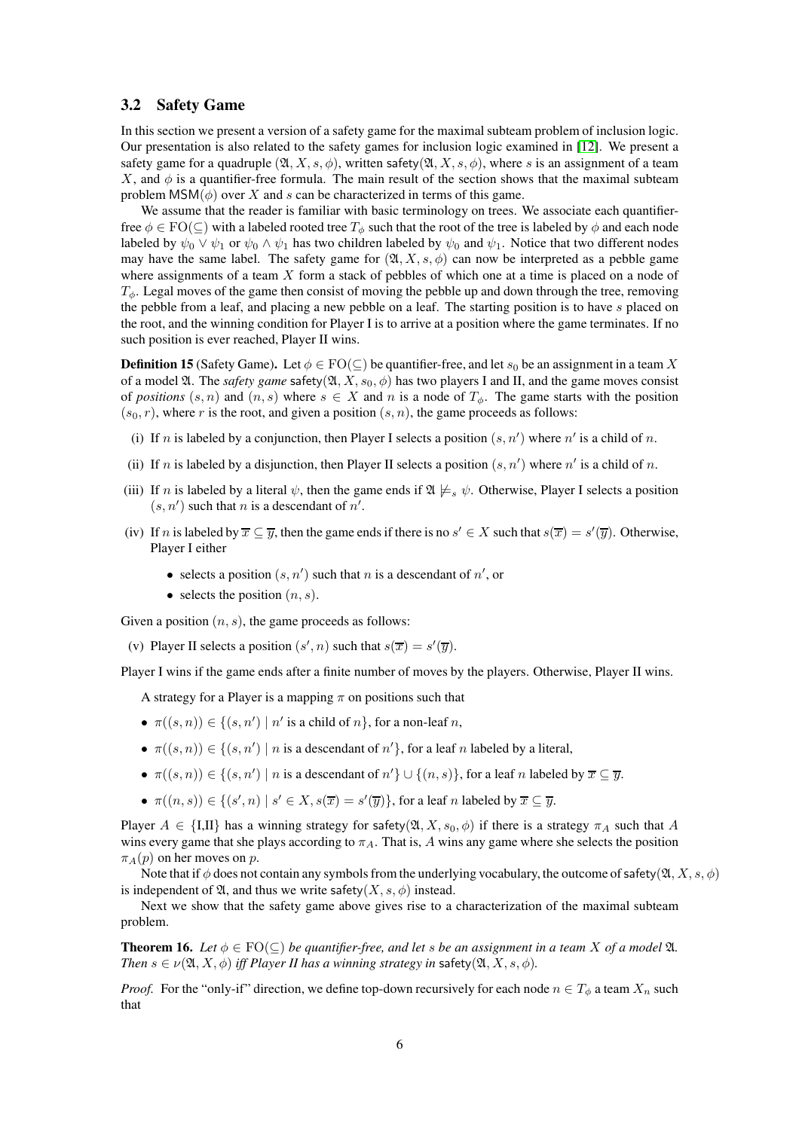### 3.2 Safety Game

In this section we present a version of a safety game for the maximal subteam problem of inclusion logic. Our presentation is also related to the safety games for inclusion logic examined in [\[12\]](#page-17-12). We present a safety game for a quadruple  $(\mathfrak{A}, X, s, \phi)$ , written safety $(\mathfrak{A}, X, s, \phi)$ , where s is an assignment of a team X, and  $\phi$  is a quantifier-free formula. The main result of the section shows that the maximal subteam problem  $MSM(\phi)$  over X and s can be characterized in terms of this game.

We assume that the reader is familiar with basic terminology on trees. We associate each quantifierfree  $\phi \in \text{FO}(\subseteq)$  with a labeled rooted tree  $T_{\phi}$  such that the root of the tree is labeled by  $\phi$  and each node labeled by  $\psi_0 \vee \psi_1$  or  $\psi_0 \wedge \psi_1$  has two children labeled by  $\psi_0$  and  $\psi_1$ . Notice that two different nodes may have the same label. The safety game for  $(\mathfrak{A}, X, s, \phi)$  can now be interpreted as a pebble game where assignments of a team  $X$  form a stack of pebbles of which one at a time is placed on a node of  $T_{\phi}$ . Legal moves of the game then consist of moving the pebble up and down through the tree, removing the pebble from a leaf, and placing a new pebble on a leaf. The starting position is to have s placed on the root, and the winning condition for Player I is to arrive at a position where the game terminates. If no such position is ever reached, Player II wins.

**Definition 15** (Safety Game). Let  $\phi \in \text{FO}(\subseteq)$  be quantifier-free, and let  $s_0$  be an assignment in a team X of a model  $\mathfrak A$ . The *safety game* safety( $\mathfrak A$ ,  $X$ ,  $s_0$ ,  $\phi$ ) has two players I and II, and the game moves consist of *positions*  $(s, n)$  and  $(n, s)$  where  $s \in X$  and n is a node of  $T_{\phi}$ . The game starts with the position  $(s_0, r)$ , where r is the root, and given a position  $(s, n)$ , the game proceeds as follows:

- (i) If n is labeled by a conjunction, then Player I selects a position  $(s, n')$  where n' is a child of n.
- (ii) If n is labeled by a disjunction, then Player II selects a position  $(s, n')$  where n' is a child of n.
- (iii) If n is labeled by a literal  $\psi$ , then the game ends if  $\mathfrak{A} \not\models_{s} \psi$ . Otherwise, Player I selects a position  $(s, n')$  such that *n* is a descendant of *n'*.
- (iv) If n is labeled by  $\overline{x} \subseteq \overline{y}$ , then the game ends if there is no  $s' \in X$  such that  $s(\overline{x}) = s'(\overline{y})$ . Otherwise, Player I either
	- selects a position  $(s, n')$  such that n is a descendant of  $n'$ , or
	- selects the position  $(n, s)$ .

Given a position  $(n, s)$ , the game proceeds as follows:

(v) Player II selects a position  $(s', n)$  such that  $s(\overline{x}) = s'(\overline{y})$ .

Player I wins if the game ends after a finite number of moves by the players. Otherwise, Player II wins.

A strategy for a Player is a mapping  $\pi$  on positions such that

- $\pi((s, n)) \in \{(s, n') \mid n' \text{ is a child of } n\}$ , for a non-leaf n,
- $\pi((s, n)) \in \{(s, n') \mid n \text{ is a descendant of } n'\}, \text{ for a leaf } n \text{ labeled by a literal},$
- $\pi((s, n)) \in \{(s, n') \mid n \text{ is a descendant of } n'\} \cup \{(n, s)\}\$ , for a leaf n labeled by  $\overline{x} \subseteq \overline{y}$ .
- $\pi((n, s)) \in \{ (s', n) \mid s' \in X, s(\overline{x}) = s'(\overline{y}) \}$ , for a leaf n labeled by  $\overline{x} \subseteq \overline{y}$ .

Player  $A \in \{\text{I}, \text{II}\}\$  has a winning strategy for safety( $\mathfrak{A}, X, s_0, \phi$ ) if there is a strategy  $\pi_A$  such that A wins every game that she plays according to  $\pi_A$ . That is, A wins any game where she selects the position  $\pi_A(p)$  on her moves on p.

Note that if  $\phi$  does not contain any symbols from the underlying vocabulary, the outcome of safety( $\mathfrak{A}, X, s, \phi$ ) is independent of  $\mathfrak{A}$ , and thus we write safety(X, s,  $\phi$ ) instead.

Next we show that the safety game above gives rise to a characterization of the maximal subteam problem.

<span id="page-5-0"></span>**Theorem 16.** Let  $\phi \in \text{FO}(\subseteq)$  be quantifier-free, and let s be an assignment in a team X of a model  $\mathfrak{A}$ . *Then*  $s \in \nu(\mathfrak{A}, X, \phi)$  *iff Player II has a winning strategy in* safety( $\mathfrak{A}, X, s, \phi$ ).

*Proof.* For the "only-if" direction, we define top-down recursively for each node  $n \in T_{\phi}$  a team  $X_n$  such that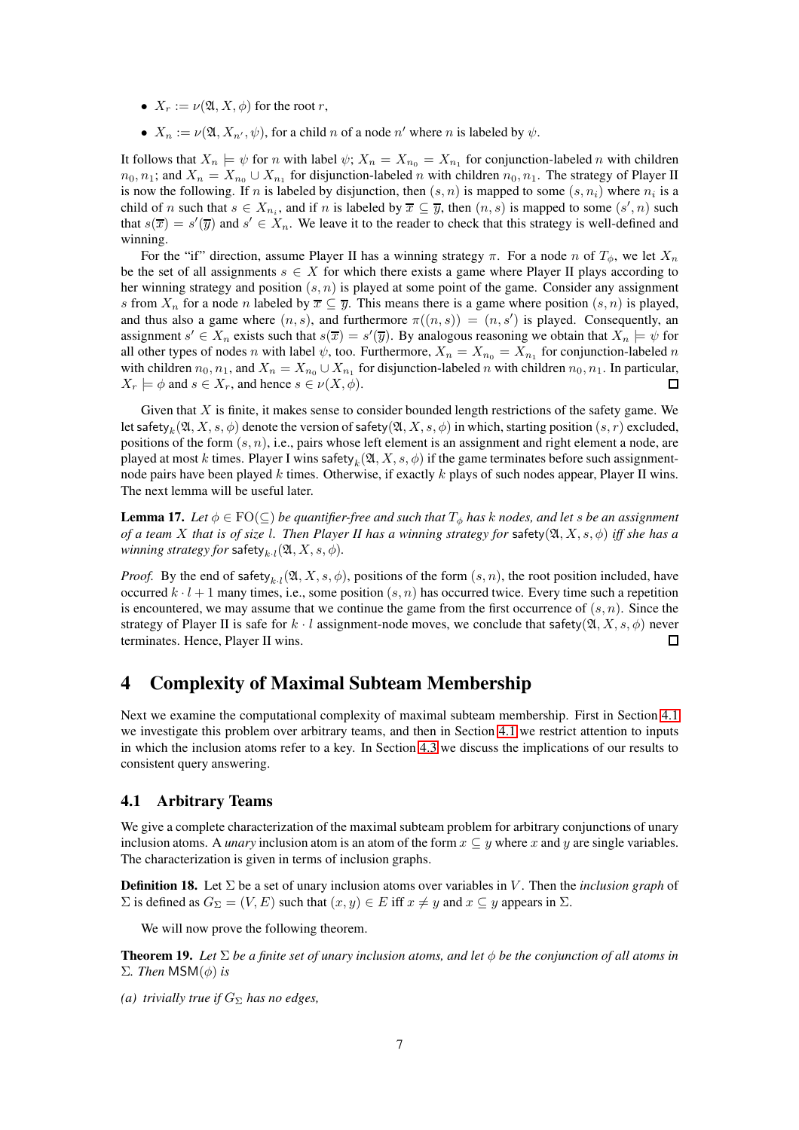- $X_r := \nu(\mathfrak{A}, X, \phi)$  for the root r,
- $X_n := \nu(\mathfrak{A}, X_{n'}, \psi)$ , for a child n of a node n' where n is labeled by  $\psi$ .

It follows that  $X_n \models \psi$  for n with label  $\psi$ ;  $X_n = X_{n_0} = X_{n_1}$  for conjunction-labeled n with children  $n_0, n_1$ ; and  $X_n = X_{n_0} \cup X_{n_1}$  for disjunction-labeled n with children  $n_0, n_1$ . The strategy of Player II is now the following. If n is labeled by disjunction, then  $(s, n)$  is mapped to some  $(s, n_i)$  where  $n_i$  is a child of n such that  $s \in X_{n_i}$ , and if n is labeled by  $\overline{x} \subseteq \overline{y}$ , then  $(n, s)$  is mapped to some  $(s', n)$  such that  $s(\overline{x}) = s'(\overline{y})$  and  $s' \in X_n$ . We leave it to the reader to check that this strategy is well-defined and winning.

For the "if" direction, assume Player II has a winning strategy  $\pi$ . For a node n of  $T_{\phi}$ , we let  $X_n$ be the set of all assignments  $s \in X$  for which there exists a game where Player II plays according to her winning strategy and position  $(s, n)$  is played at some point of the game. Consider any assignment s from  $X_n$  for a node n labeled by  $\overline{x} \subseteq \overline{y}$ . This means there is a game where position  $(s, n)$  is played, and thus also a game where  $(n, s)$ , and furthermore  $\pi((n, s)) = (n, s')$  is played. Consequently, an assignment  $s' \in X_n$  exists such that  $s(\overline{x}) = s'(\overline{y})$ . By analogous reasoning we obtain that  $X_n \models \psi$  for all other types of nodes n with label  $\psi$ , too. Furthermore,  $X_n = X_{n_0} = X_{n_1}$  for conjunction-labeled n with children  $n_0, n_1$ , and  $X_n = X_{n_0} \cup X_{n_1}$  for disjunction-labeled n with children  $n_0, n_1$ . In particular,  $X_r \models \phi$  and  $s \in X_r$ , and hence  $s \in \nu(X, \phi)$ . П

Given that  $X$  is finite, it makes sense to consider bounded length restrictions of the safety game. We let safety $_k(\mathfrak{A},X,s,\phi)$  denote the version of safety $(\mathfrak{A},X,s,\phi)$  in which, starting position  $(s,r)$  excluded, positions of the form  $(s, n)$ , i.e., pairs whose left element is an assignment and right element a node, are played at most k times. Player I wins safety  $_k(\mathfrak{A},X,s,\phi)$  if the game terminates before such assignmentnode pairs have been played k times. Otherwise, if exactly k plays of such nodes appear, Player II wins. The next lemma will be useful later.

<span id="page-6-2"></span>**Lemma 17.** *Let*  $\phi \in \text{FO}(\subseteq)$  *be quantifier-free and such that*  $T_{\phi}$  *has k nodes, and let s be an assignment of a team* X *that is of size* l*. Then Player II has a winning strategy for* safety(A, X, s, φ) *iff she has a*  $winning\ strategy for\ safety_{k\cdot l}(\mathfrak{A}, X, s, \phi).$ 

*Proof.* By the end of safety<sub>k·l</sub>( $\mathfrak{A}, X, s, \phi$ ), positions of the form  $(s, n)$ , the root position included, have occurred  $k \cdot l + 1$  many times, i.e., some position  $(s, n)$  has occurred twice. Every time such a repetition is encountered, we may assume that we continue the game from the first occurrence of  $(s, n)$ . Since the strategy of Player II is safe for  $k \cdot l$  assignment-node moves, we conclude that safety( $\mathfrak{A}, X, s, \phi$ ) never terminates. Hence, Player II wins.  $\Box$ 

# 4 Complexity of Maximal Subteam Membership

Next we examine the computational complexity of maximal subteam membership. First in Section [4.1](#page-6-0) we investigate this problem over arbitrary teams, and then in Section [4.1](#page-6-0) we restrict attention to inputs in which the inclusion atoms refer to a key. In Section [4.3](#page-11-0) we discuss the implications of our results to consistent query answering.

### <span id="page-6-0"></span>4.1 Arbitrary Teams

We give a complete characterization of the maximal subteam problem for arbitrary conjunctions of unary inclusion atoms. A *unary* inclusion atom is an atom of the form  $x \subseteq y$  where x and y are single variables. The characterization is given in terms of inclusion graphs.

Definition 18. Let Σ be a set of unary inclusion atoms over variables in V . Then the *inclusion graph* of  $\Sigma$  is defined as  $G_{\Sigma} = (V, E)$  such that  $(x, y) \in E$  iff  $x \neq y$  and  $x \subseteq y$  appears in  $\Sigma$ .

We will now prove the following theorem.

<span id="page-6-1"></span>**Theorem 19.** *Let*  $\Sigma$  *be a finite set of unary inclusion atoms, and let*  $\phi$  *be the conjunction of all atoms in* Σ*. Then* MSM(φ) *is*

*(a) trivially true if*  $G_{\Sigma}$  *has no edges,*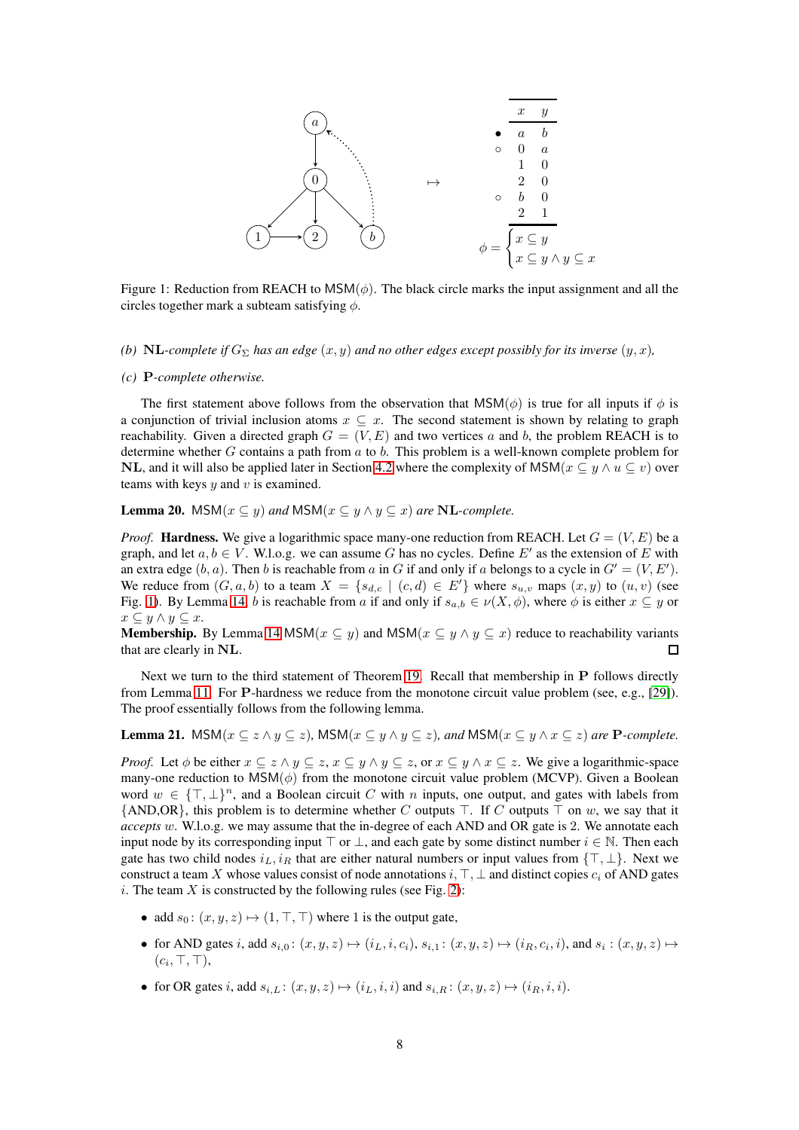<span id="page-7-0"></span>

Figure 1: Reduction from REACH to  $MSM(\phi)$ . The black circle marks the input assignment and all the circles together mark a subteam satisfying  $\phi$ .

#### *(b)* NL-complete if  $G_{\Sigma}$  has an edge  $(x, y)$  and no other edges except possibly for its inverse  $(y, x)$ ,

#### *(c)* P*-complete otherwise.*

The first statement above follows from the observation that  $MSM(\phi)$  is true for all inputs if  $\phi$  is a conjunction of trivial inclusion atoms  $x \subseteq x$ . The second statement is shown by relating to graph reachability. Given a directed graph  $G = (V, E)$  and two vertices a and b, the problem REACH is to determine whether  $G$  contains a path from  $a$  to  $b$ . This problem is a well-known complete problem for **NL, and it will also be applied later in Section [4.2](#page-9-0) where the complexity of MSM(** $x \subseteq y \land u \subseteq v$ ) over teams with keys  $y$  and  $v$  is examined.

<span id="page-7-1"></span>**Lemma 20.** MSM( $x \subseteq y$ ) and MSM( $x \subseteq y \land y \subseteq x$ ) are **NL**-complete.

*Proof.* **Hardness.** We give a logarithmic space many-one reduction from REACH. Let  $G = (V, E)$  be a graph, and let  $a, b \in V$ . W.l.o.g. we can assume G has no cycles. Define E' as the extension of E with an extra edge  $(b, a)$ . Then b is reachable from a in G if and only if a belongs to a cycle in  $G' = (V, E')$ . We reduce from  $(G, a, b)$  to a team  $X = \{s_{d,c} \mid (c, d) \in E'\}$  where  $s_{u,v}$  maps  $(x, y)$  to  $(u, v)$  (see Fig. [1\)](#page-7-0). By Lemma [14,](#page-4-1) b is reachable from a if and only if  $s_{a,b} \in \nu(X, \phi)$ , where  $\phi$  is either  $x \subseteq y$  or  $x \subseteq y \land y \subseteq x$ .

**Membership.** By Lemma [14](#page-4-1) MSM( $x \subseteq y$ ) and MSM( $x \subseteq y \land y \subseteq x$ ) reduce to reachability variants that are clearly in NL.  $\Box$ 

Next we turn to the third statement of Theorem [19.](#page-6-1) Recall that membership in P follows directly from Lemma [11.](#page-4-2) For P-hardness we reduce from the monotone circuit value problem (see, e.g., [\[29\]](#page-18-6)). The proof essentially follows from the following lemma.

<span id="page-7-2"></span>Lemma 21. MSM( $x \subseteq z \land y \subseteq z$ ), MSM( $x \subseteq y \land y \subseteq z$ ), and MSM( $x \subseteq y \land x \subseteq z$ ) are P-complete.

*Proof.* Let  $\phi$  be either  $x \subseteq z \land y \subseteq z$ ,  $x \subseteq y \land y \subseteq z$ , or  $x \subseteq y \land x \subseteq z$ . We give a logarithmic-space many-one reduction to  $MSM(\phi)$  from the monotone circuit value problem (MCVP). Given a Boolean word  $w \in {\{\top, \bot\}}^n$ , and a Boolean circuit C with n inputs, one output, and gates with labels from  ${\text{AND,OR}}$ , this problem is to determine whether C outputs ⊤. If C outputs ⊤ on w, we say that it *accepts* w. W.l.o.g. we may assume that the in-degree of each AND and OR gate is 2. We annotate each input node by its corresponding input  $\top$  or  $\bot$ , and each gate by some distinct number  $i \in \mathbb{N}$ . Then each gate has two child nodes  $i_L$ ,  $i_R$  that are either natural numbers or input values from {⊤, ⊥}. Next we construct a team X whose values consist of node annotations i,  $\top$ ,  $\bot$  and distinct copies  $c_i$  of AND gates i. The team  $X$  is constructed by the following rules (see Fig. [2\)](#page-8-0):

- add  $s_0: (x, y, z) \mapsto (1, \top, \top)$  where 1 is the output gate,
- for AND gates i, add  $s_{i,0}$ :  $(x, y, z) \mapsto (i_L, i, c_i), s_{i,1}$ :  $(x, y, z) \mapsto (i_R, c_i, i)$ , and  $s_i$ :  $(x, y, z) \mapsto$  $(c_i, \top, \top)$ ,
- for OR gates i, add  $s_{i,L}$ :  $(x, y, z) \mapsto (i_L, i, i)$  and  $s_{i,R}$ :  $(x, y, z) \mapsto (i_R, i, i)$ .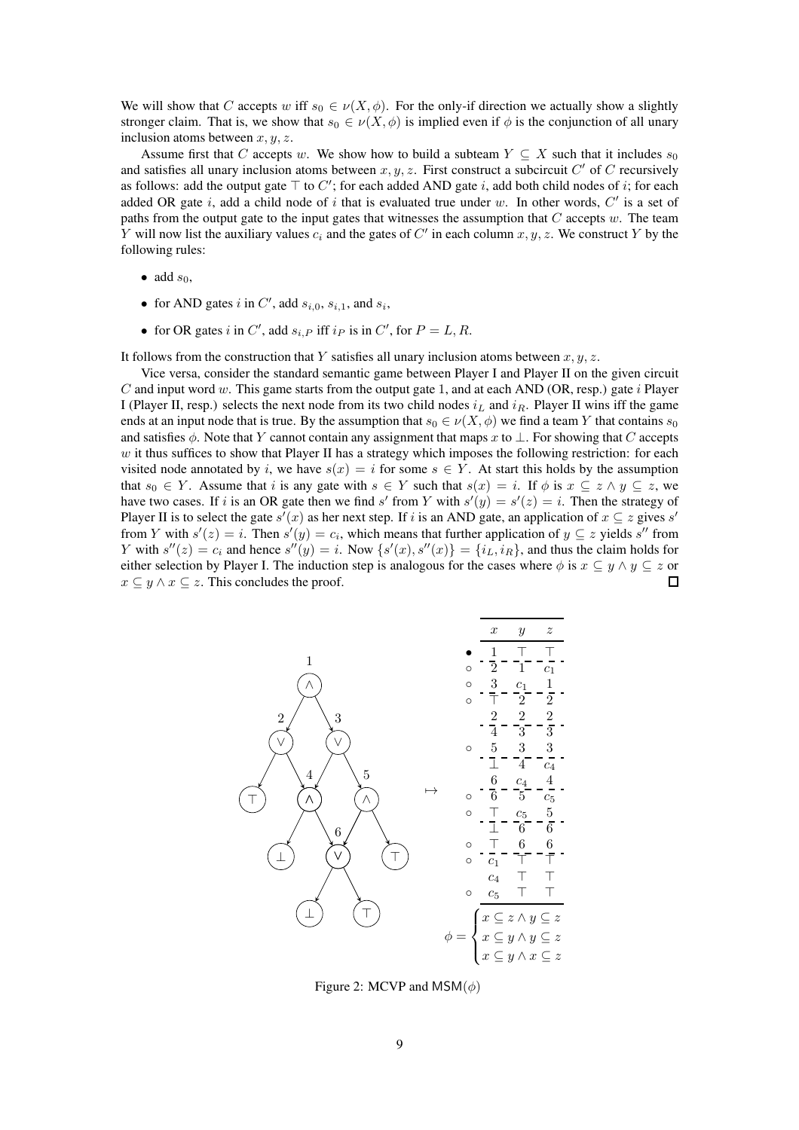We will show that C accepts w iff  $s_0 \in \nu(X, \phi)$ . For the only-if direction we actually show a slightly stronger claim. That is, we show that  $s_0 \in \nu(X, \phi)$  is implied even if  $\phi$  is the conjunction of all unary inclusion atoms between  $x, y, z$ .

Assume first that C accepts w. We show how to build a subteam  $Y \subseteq X$  such that it includes  $s_0$ and satisfies all unary inclusion atoms between  $x, y, z$ . First construct a subcircuit  $C'$  of  $C$  recursively as follows: add the output gate  $\top$  to  $C'$ ; for each added AND gate i, add both child nodes of i; for each added OR gate i, add a child node of i that is evaluated true under w. In other words,  $C'$  is a set of paths from the output gate to the input gates that witnesses the assumption that  $C$  accepts  $w$ . The team Y will now list the auxiliary values  $c_i$  and the gates of  $C'$  in each column  $x, y, z$ . We construct Y by the following rules:

- add  $s_0$ ,
- for AND gates i in C', add  $s_{i,0}$ ,  $s_{i,1}$ , and  $s_i$ ,
- for OR gates i in C', add  $s_{i,P}$  iff  $i_P$  is in C', for  $P = L, R$ .

It follows from the construction that Y satisfies all unary inclusion atoms between  $x, y, z$ .

Vice versa, consider the standard semantic game between Player I and Player II on the given circuit C and input word w. This game starts from the output gate 1, and at each AND (OR, resp.) gate i Player I (Player II, resp.) selects the next node from its two child nodes  $i_L$  and  $i_R$ . Player II wins iff the game ends at an input node that is true. By the assumption that  $s_0 \in \nu(X, \phi)$  we find a team Y that contains  $s_0$ and satisfies  $\phi$ . Note that Y cannot contain any assignment that maps x to ⊥. For showing that C accepts  $w$  it thus suffices to show that Player II has a strategy which imposes the following restriction: for each visited node annotated by i, we have  $s(x) = i$  for some  $s \in Y$ . At start this holds by the assumption that  $s_0 \in Y$ . Assume that i is any gate with  $s \in Y$  such that  $s(x) = i$ . If  $\phi$  is  $x \subseteq z \land y \subseteq z$ , we have two cases. If i is an OR gate then we find s' from Y with  $s'(y) = s'(z) = i$ . Then the strategy of Player II is to select the gate  $s'(x)$  as her next step. If i is an AND gate, an application of  $x \subseteq z$  gives  $s'$ from Y with  $s'(z) = i$ . Then  $s'(y) = c_i$ , which means that further application of  $y \subseteq z$  yields  $s''$  from Y with  $s''(z) = c_i$  and hence  $s''(y) = i$ . Now  $\{s'(x), s''(x)\} = \{i_L, i_R\}$ , and thus the claim holds for either selection by Player I. The induction step is analogous for the cases where  $\phi$  is  $x \subseteq y \land y \subseteq z$  or  $x \subseteq y \land x \subseteq z$ . This concludes the proof.  $\Box$ 

<span id="page-8-0"></span>

Figure 2: MCVP and MSM $(\phi)$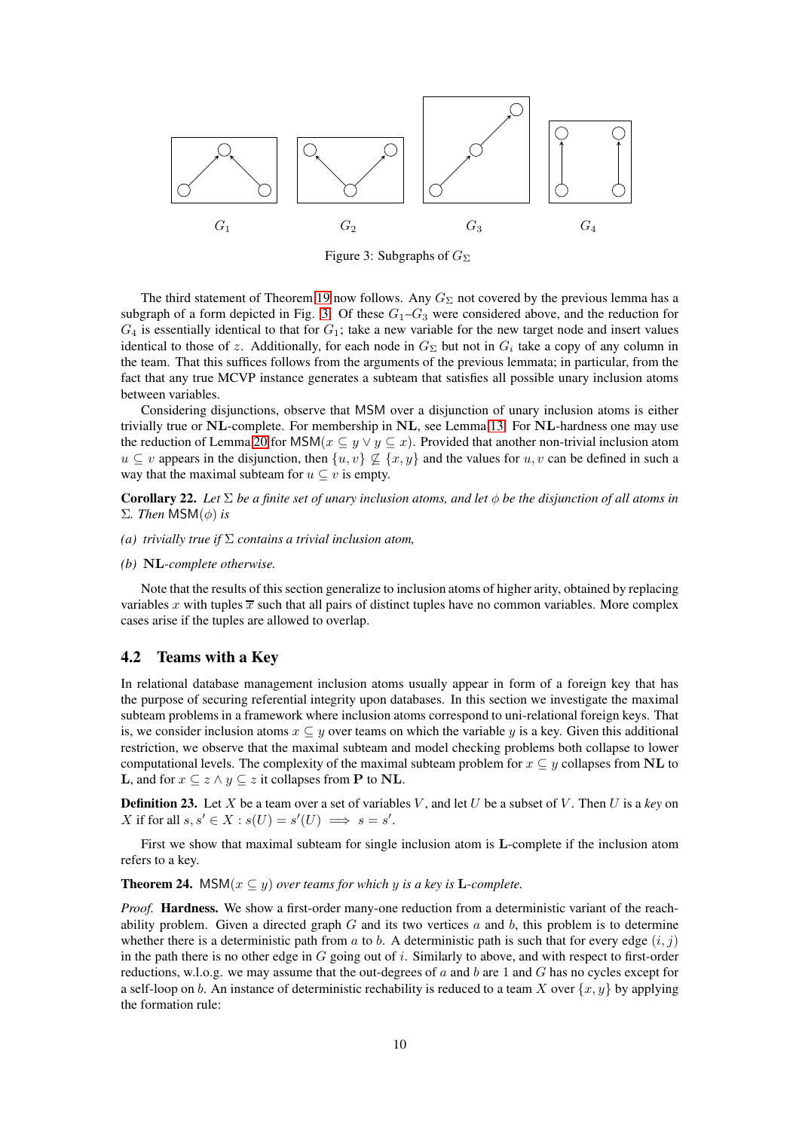<span id="page-9-1"></span>

Figure 3: Subgraphs of  $G_{\Sigma}$ 

The third statement of Theorem [19](#page-6-1) now follows. Any  $G_{\Sigma}$  not covered by the previous lemma has a subgraph of a form depicted in Fig. [3.](#page-9-1) Of these  $G_1-G_3$  were considered above, and the reduction for  $G_4$  is essentially identical to that for  $G_1$ ; take a new variable for the new target node and insert values identical to those of z. Additionally, for each node in  $G_{\Sigma}$  but not in  $G_i$  take a copy of any column in the team. That this suffices follows from the arguments of the previous lemmata; in particular, from the fact that any true MCVP instance generates a subteam that satisfies all possible unary inclusion atoms between variables.

Considering disjunctions, observe that MSM over a disjunction of unary inclusion atoms is either trivially true or NL-complete. For membership in NL, see Lemma [13.](#page-4-3) For NL-hardness one may use the reduction of Lemma [20](#page-7-1) for  $MSM(x \subseteq y \lor y \subseteq x)$ . Provided that another non-trivial inclusion atom  $u \subseteq v$  appears in the disjunction, then  $\{u, v\} \not\subseteq \{x, y\}$  and the values for  $u, v$  can be defined in such a way that the maximal subteam for  $u \subseteq v$  is empty.

<span id="page-9-2"></span>Corollary 22. *Let* Σ *be a finite set of unary inclusion atoms, and let* φ *be the disjunction of all atoms in* Σ*. Then* MSM(φ) *is*

- *(a) trivially true if* Σ *contains a trivial inclusion atom,*
- *(b)* NL*-complete otherwise.*

Note that the results of this section generalize to inclusion atoms of higher arity, obtained by replacing variables x with tuples  $\overline{x}$  such that all pairs of distinct tuples have no common variables. More complex cases arise if the tuples are allowed to overlap.

### <span id="page-9-0"></span>4.2 Teams with a Key

In relational database management inclusion atoms usually appear in form of a foreign key that has the purpose of securing referential integrity upon databases. In this section we investigate the maximal subteam problems in a framework where inclusion atoms correspond to uni-relational foreign keys. That is, we consider inclusion atoms  $x \subseteq y$  over teams on which the variable y is a key. Given this additional restriction, we observe that the maximal subteam and model checking problems both collapse to lower computational levels. The complexity of the maximal subteam problem for  $x \subseteq y$  collapses from NL to **L**, and for  $x \subseteq z \land y \subseteq z$  it collapses from **P** to **NL**.

**Definition 23.** Let X be a team over a set of variables V, and let U be a subset of V. Then U is a key on X if for all  $s, s' \in X : s(U) = s'(U) \implies s = s'$ .

First we show that maximal subteam for single inclusion atom is L-complete if the inclusion atom refers to a key.

**Theorem 24.** MSM( $x \subseteq y$ ) *over teams for which* y *is a key is* **L**-complete.

*Proof.* Hardness. We show a first-order many-one reduction from a deterministic variant of the reachability problem. Given a directed graph  $G$  and its two vertices  $a$  and  $b$ , this problem is to determine whether there is a deterministic path from a to b. A deterministic path is such that for every edge  $(i, j)$ in the path there is no other edge in  $G$  going out of  $i$ . Similarly to above, and with respect to first-order reductions, w.l.o.g. we may assume that the out-degrees of  $a$  and  $b$  are 1 and  $G$  has no cycles except for a self-loop on b. An instance of deterministic rechability is reduced to a team X over  $\{x, y\}$  by applying the formation rule: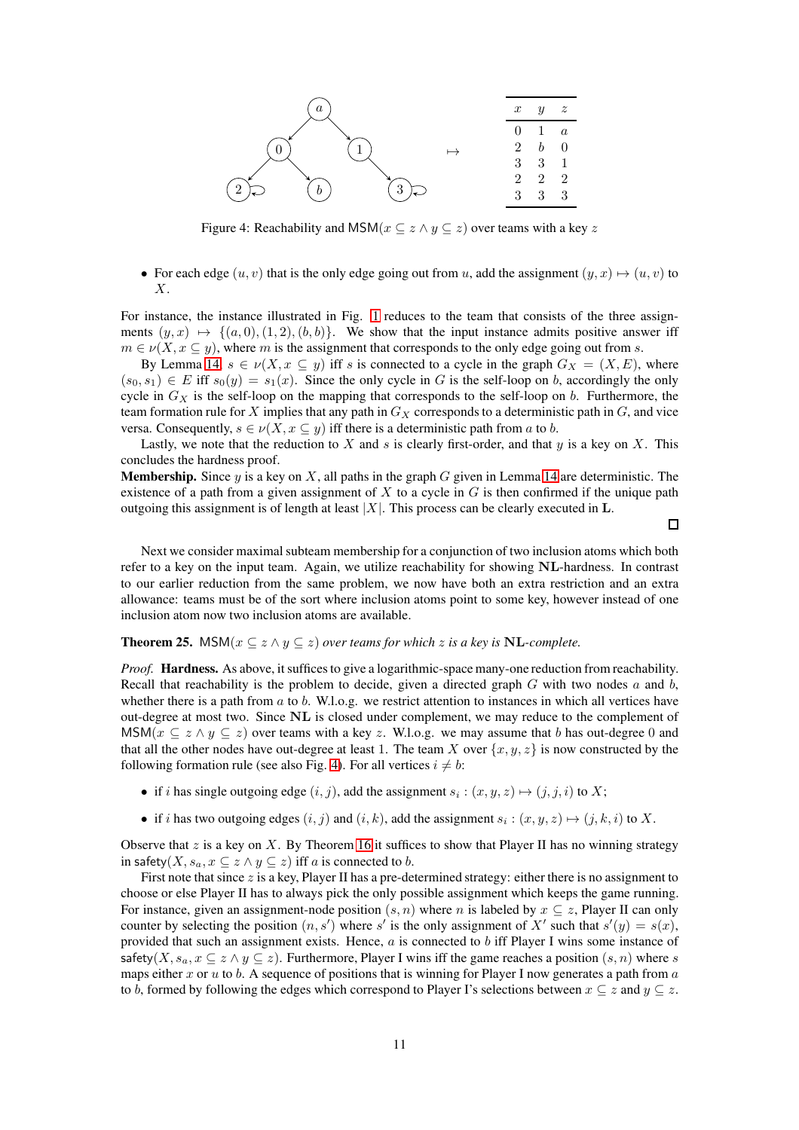<span id="page-10-0"></span>

Figure 4: Reachability and MSM( $x \subseteq z \land y \subseteq z$ ) over teams with a key z

• For each edge  $(u, v)$  that is the only edge going out from u, add the assignment  $(y, x) \mapsto (u, v)$  to X.

For instance, the instance illustrated in Fig. [1](#page-7-0) reduces to the team that consists of the three assignments  $(y, x) \mapsto \{(a, 0), (1, 2), (b, b)\}.$  We show that the input instance admits positive answer iff  $m \in \nu(X, x \subseteq y)$ , where m is the assignment that corresponds to the only edge going out from s.

By Lemma [14,](#page-4-1)  $s \in \nu(X, x \subseteq y)$  iff s is connected to a cycle in the graph  $G_X = (X, E)$ , where  $(s_0, s_1) \in E$  iff  $s_0(y) = s_1(x)$ . Since the only cycle in G is the self-loop on b, accordingly the only cycle in  $G_X$  is the self-loop on the mapping that corresponds to the self-loop on b. Furthermore, the team formation rule for  $X$  implies that any path in  $G_X$  corresponds to a deterministic path in  $G$ , and vice versa. Consequently,  $s \in \nu(X, x \subseteq y)$  iff there is a deterministic path from a to b.

Lastly, we note that the reduction to X and s is clearly first-order, and that y is a key on X. This concludes the hardness proof.

**Membership.** Since y is a key on X, all paths in the graph G given in Lemma [14](#page-4-1) are deterministic. The existence of a path from a given assignment of X to a cycle in  $G$  is then confirmed if the unique path outgoing this assignment is of length at least  $|X|$ . This process can be clearly executed in L.

 $\Box$ 

Next we consider maximal subteam membership for a conjunction of two inclusion atoms which both refer to a key on the input team. Again, we utilize reachability for showing NL-hardness. In contrast to our earlier reduction from the same problem, we now have both an extra restriction and an extra allowance: teams must be of the sort where inclusion atoms point to some key, however instead of one inclusion atom now two inclusion atoms are available.

#### **Theorem 25.** MSM( $x \subseteq z \land y \subseteq z$ ) *over teams for which* z *is a key is* NL-*complete.*

*Proof.* Hardness. As above, it suffices to give a logarithmic-space many-one reduction from reachability. Recall that reachability is the problem to decide, given a directed graph  $G$  with two nodes  $a$  and  $b$ , whether there is a path from  $a$  to  $b$ . W.l.o.g. we restrict attention to instances in which all vertices have out-degree at most two. Since NL is closed under complement, we may reduce to the complement of MSM( $x \subseteq z \land y \subseteq z$ ) over teams with a key z. W.l.o.g. we may assume that b has out-degree 0 and that all the other nodes have out-degree at least 1. The team X over  $\{x, y, z\}$  is now constructed by the following formation rule (see also Fig. [4\)](#page-10-0). For all vertices  $i \neq b$ :

- if *i* has single outgoing edge  $(i, j)$ , add the assignment  $s_i : (x, y, z) \mapsto (j, j, i)$  to X;
- if i has two outgoing edges  $(i, j)$  and  $(i, k)$ , add the assignment  $s_i : (x, y, z) \mapsto (j, k, i)$  to X.

Observe that z is a key on X. By Theorem [16](#page-5-0) it suffices to show that Player II has no winning strategy in safety(X,  $s_a, x \subseteq z \land y \subseteq z$ ) iff a is connected to b.

First note that since z is a key, Player II has a pre-determined strategy: either there is no assignment to choose or else Player II has to always pick the only possible assignment which keeps the game running. For instance, given an assignment-node position  $(s, n)$  where n is labeled by  $x \subseteq z$ , Player II can only counter by selecting the position  $(n, s')$  where s' is the only assignment of X' such that  $s'(y) = s(x)$ , provided that such an assignment exists. Hence,  $a$  is connected to  $b$  iff Player I wins some instance of safety(X,  $s_a, x \subseteq z \land y \subseteq z$ ). Furthermore, Player I wins iff the game reaches a position  $(s, n)$  where s maps either x or  $u$  to  $b$ . A sequence of positions that is winning for Player I now generates a path from  $a$ to b, formed by following the edges which correspond to Player I's selections between  $x \subseteq z$  and  $y \subseteq z$ .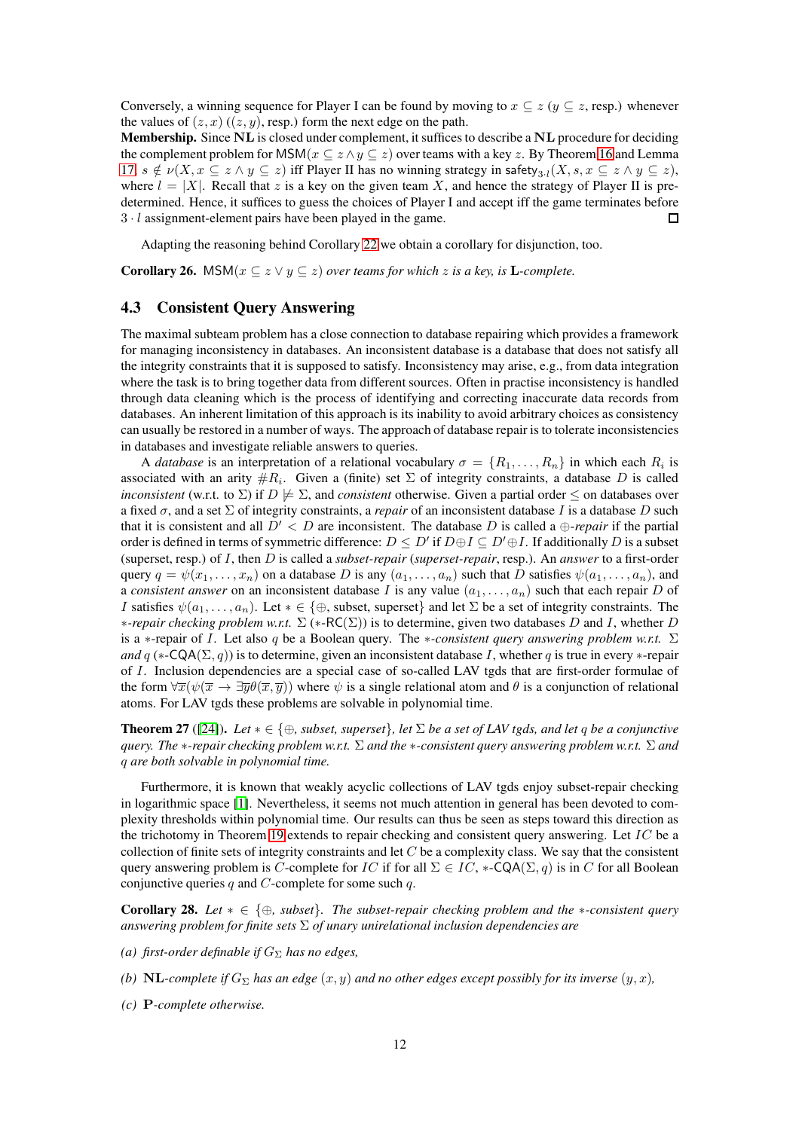Conversely, a winning sequence for Player I can be found by moving to  $x \subseteq z$  ( $y \subseteq z$ , resp.) whenever the values of  $(z, x)$   $((z, y)$ , resp.) form the next edge on the path.

Membership. Since NL is closed under complement, it suffices to describe a NL procedure for deciding the complement problem for MSM( $x \subseteq z \land y \subseteq z$ ) over teams with a key z. By Theorem [16](#page-5-0) and Lemma [17,](#page-6-2)  $s \notin \nu(X, x \subseteq z \land y \subseteq z)$  iff Player II has no winning strategy in safety ${}_{3,l}(X, s, x \subseteq z \land y \subseteq z)$ , where  $l = |X|$ . Recall that z is a key on the given team X, and hence the strategy of Player II is predetermined. Hence, it suffices to guess the choices of Player I and accept iff the game terminates before 3 · l assignment-element pairs have been played in the game.  $\Box$ 

Adapting the reasoning behind Corollary [22](#page-9-2) we obtain a corollary for disjunction, too.

**Corollary 26.** MSM( $x \subseteq z \lor y \subseteq z$ ) *over teams for which* z *is a key, is* **L**-complete.

### <span id="page-11-0"></span>4.3 Consistent Query Answering

The maximal subteam problem has a close connection to database repairing which provides a framework for managing inconsistency in databases. An inconsistent database is a database that does not satisfy all the integrity constraints that it is supposed to satisfy. Inconsistency may arise, e.g., from data integration where the task is to bring together data from different sources. Often in practise inconsistency is handled through data cleaning which is the process of identifying and correcting inaccurate data records from databases. An inherent limitation of this approach is its inability to avoid arbitrary choices as consistency can usually be restored in a number of ways. The approach of database repair is to tolerate inconsistencies in databases and investigate reliable answers to queries.

A *database* is an interpretation of a relational vocabulary  $\sigma = \{R_1, \ldots, R_n\}$  in which each  $R_i$  is associated with an arity  $\#R_i$ . Given a (finite) set  $\Sigma$  of integrity constraints, a database D is called *inconsistent* (w.r.t. to  $\Sigma$ ) if  $D \not\models \Sigma$ , and *consistent* otherwise. Given a partial order  $\leq$  on databases over a fixed  $\sigma$ , and a set  $\Sigma$  of integrity constraints, a *repair* of an inconsistent database I is a database D such that it is consistent and all  $D' < D$  are inconsistent. The database D is called a  $\bigoplus$ -*repair* if the partial order is defined in terms of symmetric difference:  $D \leq D'$  if  $D \oplus I \subseteq D' \oplus I$ . If additionally  $D$  is a subset (superset, resp.) of I, then D is called a *subset-repair* (*superset-repair*, resp.). An *answer* to a first-order query  $q = \psi(x_1, \ldots, x_n)$  on a database D is any  $(a_1, \ldots, a_n)$  such that D satisfies  $\psi(a_1, \ldots, a_n)$ , and a *consistent answer* on an inconsistent database I is any value  $(a_1, \ldots, a_n)$  such that each repair D of I satisfies  $\psi(a_1, \ldots, a_n)$ . Let  $* \in \{\oplus, \text{subset, } \text{superset}\}\$  and let  $\Sigma$  be a set of integrity constraints. The ∗*-repair checking problem w.r.t.* Σ (∗-RC(Σ)) is to determine, given two databases D and I, whether D is a ∗-repair of I. Let also q be a Boolean query. The ∗*-consistent query answering problem w.r.t.* Σ *and*  $q$  (\*-CQA( $\Sigma$ ,  $q$ )) is to determine, given an inconsistent database I, whether q is true in every \*-repair of I. Inclusion dependencies are a special case of so-called LAV tgds that are first-order formulae of the form  $\forall \overline{x}(\psi(\overline{x} \to \exists \overline{y}\theta(\overline{x}, \overline{y}))$  where  $\psi$  is a single relational atom and  $\theta$  is a conjunction of relational atoms. For LAV tgds these problems are solvable in polynomial time.

**Theorem 27** ([\[24\]](#page-18-4)). *Let*  $* \in \{\oplus, \text{subset}, \text{superset}\}$ , let  $\Sigma$  *be a set of LAV tgds, and let q be a conjunctive query. The* ∗*-repair checking problem w.r.t.* Σ *and the* ∗*-consistent query answering problem w.r.t.* Σ *and* q *are both solvable in polynomial time.*

Furthermore, it is known that weakly acyclic collections of LAV tgds enjoy subset-repair checking in logarithmic space [\[1\]](#page-16-7). Nevertheless, it seems not much attention in general has been devoted to complexity thresholds within polynomial time. Our results can thus be seen as steps toward this direction as the trichotomy in Theorem [19](#page-6-1) extends to repair checking and consistent query answering. Let  $IC$  be a collection of finite sets of integrity constraints and let  $C$  be a complexity class. We say that the consistent query answering problem is C-complete for IC if for all  $\Sigma \in IC$ , \*-CQA( $\Sigma$ , q) is in C for all Boolean conjunctive queries q and  $C$ -complete for some such  $q$ .

Corollary 28. *Let* ∗ ∈ {⊕*, subset*}*. The subset-repair checking problem and the* ∗*-consistent query answering problem for finite sets* Σ *of unary unirelational inclusion dependencies are*

- *(a) first-order definable if*  $G_{\Sigma}$  *has no edges,*
- *(b)* NL-complete if  $G_{\Sigma}$  has an edge  $(x, y)$  and no other edges except possibly for its inverse  $(y, x)$ ,
- *(c)* P*-complete otherwise.*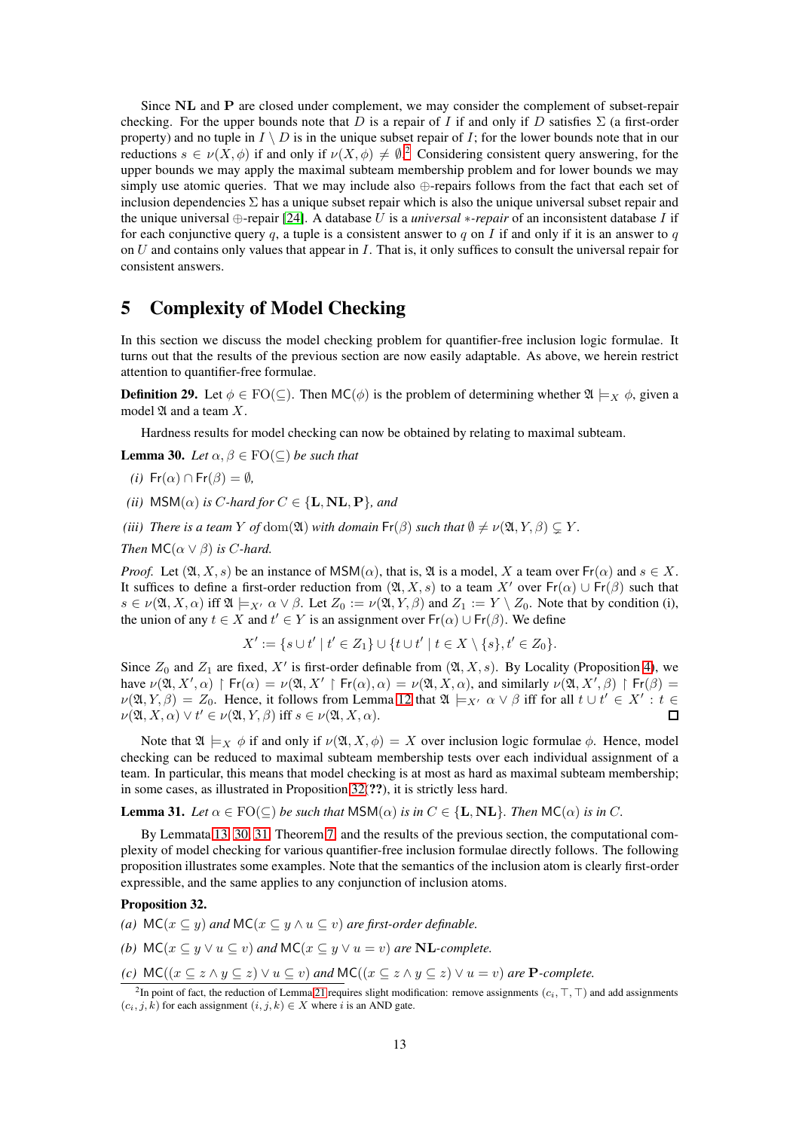Since NL and P are closed under complement, we may consider the complement of subset-repair checking. For the upper bounds note that D is a repair of I if and only if D satisfies  $\Sigma$  (a first-order property) and no tuple in  $I \setminus D$  is in the unique subset repair of I; for the lower bounds note that in our reductions  $s \in \nu(X, \phi)$  if and only if  $\nu(X, \phi) \neq \emptyset$ . Considering consistent query answering, for the upper bounds we may apply the maximal subteam membership problem and for lower bounds we may simply use atomic queries. That we may include also ⊕-repairs follows from the fact that each set of inclusion dependencies  $\Sigma$  has a unique subset repair which is also the unique universal subset repair and the unique universal ⊕-repair [\[24\]](#page-18-4). A database U is a *universal* ∗*-repair* of an inconsistent database I if for each conjunctive query q, a tuple is a consistent answer to q on I if and only if it is an answer to q on  $U$  and contains only values that appear in  $I$ . That is, it only suffices to consult the universal repair for consistent answers.

# 5 Complexity of Model Checking

In this section we discuss the model checking problem for quantifier-free inclusion logic formulae. It turns out that the results of the previous section are now easily adaptable. As above, we herein restrict attention to quantifier-free formulae.

**Definition 29.** Let  $\phi \in \text{FO}(\subseteq)$ . Then  $\text{MC}(\phi)$  is the problem of determining whether  $\mathfrak{A} \models_X \phi$ , given a model  $\mathfrak A$  and a team  $X$ .

Hardness results for model checking can now be obtained by relating to maximal subteam.

<span id="page-12-2"></span>**Lemma 30.** *Let*  $\alpha, \beta \in \text{FO}(\subseteq)$  *be such that* 

- *(i)*  $Fr(\alpha) \cap Fr(\beta) = \emptyset$ ,
- *(ii)*  $MSM(\alpha)$  *is C-hard for*  $C \in \{L, NL, P\}$ *, and*
- *(iii)* There is a team Y of dom( $\mathfrak{A}$ ) with domain  $\mathsf{Fr}(\beta)$  *such that*  $\emptyset \neq \nu(\mathfrak{A}, Y, \beta) \subseteq Y$ *.*
- *Then*  $MC(\alpha \vee \beta)$  *is C-hard.*

*Proof.* Let  $(\mathfrak{A}, X, s)$  be an instance of MSM( $\alpha$ ), that is,  $\mathfrak{A}$  is a model, X a team over  $Fr(\alpha)$  and  $s \in X$ . It suffices to define a first-order reduction from  $(\mathfrak{A}, X, s)$  to a team X' over  $\mathsf{Fr}(\alpha) \cup \mathsf{Fr}(\beta)$  such that  $s \in \nu(\mathfrak{A}, X, \alpha)$  iff  $\mathfrak{A} \models_{X'} \alpha \vee \beta$ . Let  $Z_0 := \nu(\mathfrak{A}, Y, \beta)$  and  $Z_1 := Y \setminus Z_0$ . Note that by condition (i), the union of any  $t \in X$  and  $t' \in Y$  is an assignment over  $Fr(\alpha) \cup Fr(\beta)$ . We define

$$
X' := \{ s \cup t' \mid t' \in Z_1 \} \cup \{ t \cup t' \mid t \in X \setminus \{ s \}, t' \in Z_0 \}.
$$

Since  $Z_0$  and  $Z_1$  are fixed,  $X'$  is first-order definable from  $(\mathfrak{A}, X, s)$ . By Locality (Proposition [4\)](#page-3-0), we have  $\nu(\mathfrak{A}, X', \alpha) \upharpoonright Fr(\alpha) = \nu(\mathfrak{A}, X' \upharpoonright Fr(\alpha), \alpha) = \nu(\mathfrak{A}, X, \alpha)$ , and similarly  $\nu(\mathfrak{A}, X', \beta) \upharpoonright Fr(\beta) =$  $\nu(\mathfrak{A}, Y, \beta) = Z_0$ . Hence, it follows from Lemma [12](#page-4-4) that  $\mathfrak{A} \models_{X'} \alpha \lor \beta$  iff for all  $t \cup t' \in X' : t \in$  $\nu(\mathfrak{A}, X, \alpha) \vee t' \in \nu(\mathfrak{A}, Y, \beta)$  iff  $s \in \nu(\mathfrak{A}, X, \alpha)$ .  $\Box$ 

Note that  $\mathfrak{A} \models_X \phi$  if and only if  $\nu(\mathfrak{A}, X, \phi) = X$  over inclusion logic formulae  $\phi$ . Hence, model checking can be reduced to maximal subteam membership tests over each individual assignment of a team. In particular, this means that model checking is at most as hard as maximal subteam membership; in some cases, as illustrated in Proposition [32\(](#page-12-1)??), it is strictly less hard.

<span id="page-12-3"></span>**Lemma 31.** Let  $\alpha \in \text{FO}(\subseteq)$  be such that  $\text{MSM}(\alpha)$  is in  $C \in \{\text{L}, \text{NL}\}\$ . Then  $\text{MC}(\alpha)$  is in C.

By Lemmata [13,](#page-4-3) [30,](#page-12-2) [31,](#page-12-3) Theorem [7,](#page-3-1) and the results of the previous section, the computational complexity of model checking for various quantifier-free inclusion formulae directly follows. The following proposition illustrates some examples. Note that the semantics of the inclusion atom is clearly first-order expressible, and the same applies to any conjunction of inclusion atoms.

### <span id="page-12-1"></span>Proposition 32.

- *(a)*  $MC(x \subseteq y)$  *and*  $MC(x \subseteq y \land u \subseteq v)$  *are first-order definable.*
- *(b)*  $MC(x \subseteq y \lor u \subseteq v)$  *and*  $MC(x \subseteq y \lor u = v)$  *are* **NL**-complete.

*(c)*  $MC((x \subseteq z \land y \subseteq z) \lor u \subseteq v)$  *and*  $MC((x \subseteq z \land y \subseteq z) \lor u = v)$  *are* **P***-complete.* 

<span id="page-12-0"></span><sup>&</sup>lt;sup>2</sup>In point of fact, the reduction of Lemma [21](#page-7-2) requires slight modification: remove assignments ( $c_i, \top, \top$ ) and add assignments  $(c_i, j, k)$  for each assignment  $(i, j, k) \in X$  where i is an AND gate.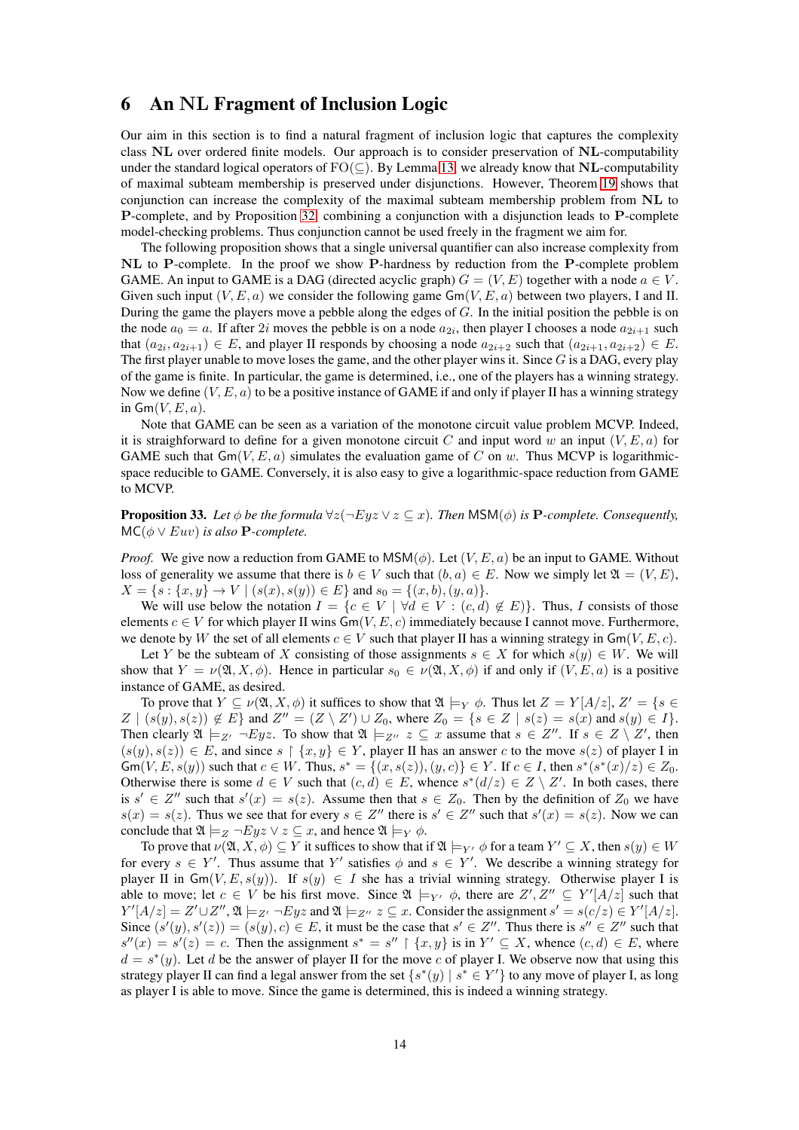# <span id="page-13-0"></span>6 An NL Fragment of Inclusion Logic

Our aim in this section is to find a natural fragment of inclusion logic that captures the complexity class NL over ordered finite models. Our approach is to consider preservation of NL-computability under the standard logical operators of  $FO(\subseteq)$ . By Lemma [13,](#page-4-3) we already know that NL-computability of maximal subteam membership is preserved under disjunctions. However, Theorem [19](#page-6-1) shows that conjunction can increase the complexity of the maximal subteam membership problem from NL to P-complete, and by Proposition [32,](#page-12-1) combining a conjunction with a disjunction leads to P-complete model-checking problems. Thus conjunction cannot be used freely in the fragment we aim for.

The following proposition shows that a single universal quantifier can also increase complexity from NL to P-complete. In the proof we show P-hardness by reduction from the P-complete problem GAME. An input to GAME is a DAG (directed acyclic graph)  $G = (V, E)$  together with a node  $a \in V$ . Given such input  $(V, E, a)$  we consider the following game  $Gm(V, E, a)$  between two players, I and II. During the game the players move a pebble along the edges of G. In the initial position the pebble is on the node  $a_0 = a$ . If after 2*i* moves the pebble is on a node  $a_{2i}$ , then player I chooses a node  $a_{2i+1}$  such that  $(a_{2i}, a_{2i+1}) \in E$ , and player II responds by choosing a node  $a_{2i+2}$  such that  $(a_{2i+1}, a_{2i+2}) \in E$ . The first player unable to move loses the game, and the other player wins it. Since  $G$  is a DAG, every play of the game is finite. In particular, the game is determined, i.e., one of the players has a winning strategy. Now we define  $(V, E, a)$  to be a positive instance of GAME if and only if player II has a winning strategy in  $\mathsf{Gm}(V, E, a)$ .

Note that GAME can be seen as a variation of the monotone circuit value problem MCVP. Indeed, it is straighforward to define for a given monotone circuit C and input word w an input  $(V, E, a)$  for GAME such that  $Gm(V, E, a)$  simulates the evaluation game of C on w. Thus MCVP is logarithmicspace reducible to GAME. Conversely, it is also easy to give a logarithmic-space reduction from GAME to MCVP.

**Proposition 33.** Let  $\phi$  be the formula  $\forall z (\neg Ey \lor z \subseteq x)$ . Then MSM( $\phi$ ) is **P**-complete. Consequently,  $MC(\phi \vee Euv)$  *is also* **P**-complete.

*Proof.* We give now a reduction from GAME to  $MSM(\phi)$ . Let  $(V, E, a)$  be an input to GAME. Without loss of generality we assume that there is  $b \in V$  such that  $(b, a) \in E$ . Now we simply let  $\mathfrak{A} = (V, E)$ ,  $X = \{s : \{x, y\} \rightarrow V \mid (s(x), s(y)) \in E\}$  and  $s_0 = \{(x, b), (y, a)\}.$ 

We will use below the notation  $I = \{c \in V \mid \forall d \in V : (c, d) \notin E\}$ . Thus, I consists of those elements  $c \in V$  for which player II wins  $Gm(V, E, c)$  immediately because I cannot move. Furthermore, we denote by W the set of all elements  $c \in V$  such that player II has a winning strategy in  $G(m(V, E, c))$ .

Let Y be the subteam of X consisting of those assignments  $s \in X$  for which  $s(y) \in W$ . We will show that  $Y = \nu(\mathfrak{A}, X, \phi)$ . Hence in particular  $s_0 \in \nu(\mathfrak{A}, X, \phi)$  if and only if  $(V, E, a)$  is a positive instance of GAME, as desired.

To prove that  $Y \subseteq \nu(\mathfrak{A}, X, \phi)$  it suffices to show that  $\mathfrak{A} \models_Y \phi$ . Thus let  $Z = Y[A/z], Z' = \{s \in Z\}$  $Z | (s(y), s(z)) \notin E$  and  $Z'' = (Z \setminus Z') \cup Z_0$ , where  $Z_0 = \{s \in Z | s(z) = s(x) \text{ and } s(y) \in I\}.$ Then clearly  $\mathfrak{A} \models_{Z'} \neg Eyz$ . To show that  $\mathfrak{A} \models_{Z''} z \subseteq x$  assume that  $s \in Z''$ . If  $s \in Z \setminus Z'$ , then  $(s(y), s(z)) \in E$ , and since  $s \restriction \{x, y\} \in Y$ , player II has an answer c to the move  $s(z)$  of player I in  $\mathsf{Gm}(V, E, s(y))$  such that  $c \in W$ . Thus,  $s^* = \{(x, s(z)), (y, c)\} \in Y$ . If  $c \in I$ , then  $s^*(s^*(x)/z) \in Z_0$ . Otherwise there is some  $d \in V$  such that  $(c, d) \in E$ , whence  $s^*(d/z) \in Z \setminus Z'$ . In both cases, there is  $s' \in Z''$  such that  $s'(x) = s(z)$ . Assume then that  $s \in Z_0$ . Then by the definition of  $Z_0$  we have  $s(x) = s(z)$ . Thus we see that for every  $s \in Z''$  there is  $s' \in Z''$  such that  $s'(x) = s(z)$ . Now we can conclude that  $\mathfrak{A} \models_Z \neg Eyz \lor z \subseteq x$ , and hence  $\mathfrak{A} \models_Y \phi$ .

To prove that  $\nu(\mathfrak{A},X,\phi) \subseteq Y$  it suffices to show that if  $\mathfrak{A} \models_{Y'} \phi$  for a team  $Y' \subseteq X$ , then  $s(y) \in W$ for every  $s \in Y'$ . Thus assume that Y' satisfies  $\phi$  and  $s \in Y'$ . We describe a winning strategy for player II in  $\mathsf{Gm}(V, E, s(y))$ . If  $s(y) \in I$  she has a trivial winning strategy. Otherwise player I is able to move; let  $c \in V$  be his first move. Since  $\mathfrak{A} \models_{Y'} \phi$ , there are  $Z', Z'' \subseteq Y'[A/z]$  such that  $Y'[A/z] = Z' \cup Z'', \mathfrak{A} \models_{Z'} \neg Eyz$  and  $\mathfrak{A} \models_{Z''} z \subseteq x$ . Consider the assignment  $s' = s(c/z) \in Y'[A/z]$ . Since  $(s'(y), s'(z)) = (s(y), c) \in E$ , it must be the case that  $s' \in Z''$ . Thus there is  $s'' \in Z''$  such that  $s''(x) = s'(z) = c$ . Then the assignment  $s^* = s'' \restriction \{x, y\}$  is in  $Y' \subseteq X$ , whence  $(c, d) \in E$ , where  $d = s^*(y)$ . Let d be the answer of player II for the move c of player I. We observe now that using this strategy player II can find a legal answer from the set  $\{s^*(y) \mid s^* \in Y'\}$  to any move of player I, as long as player I is able to move. Since the game is determined, this is indeed a winning strategy.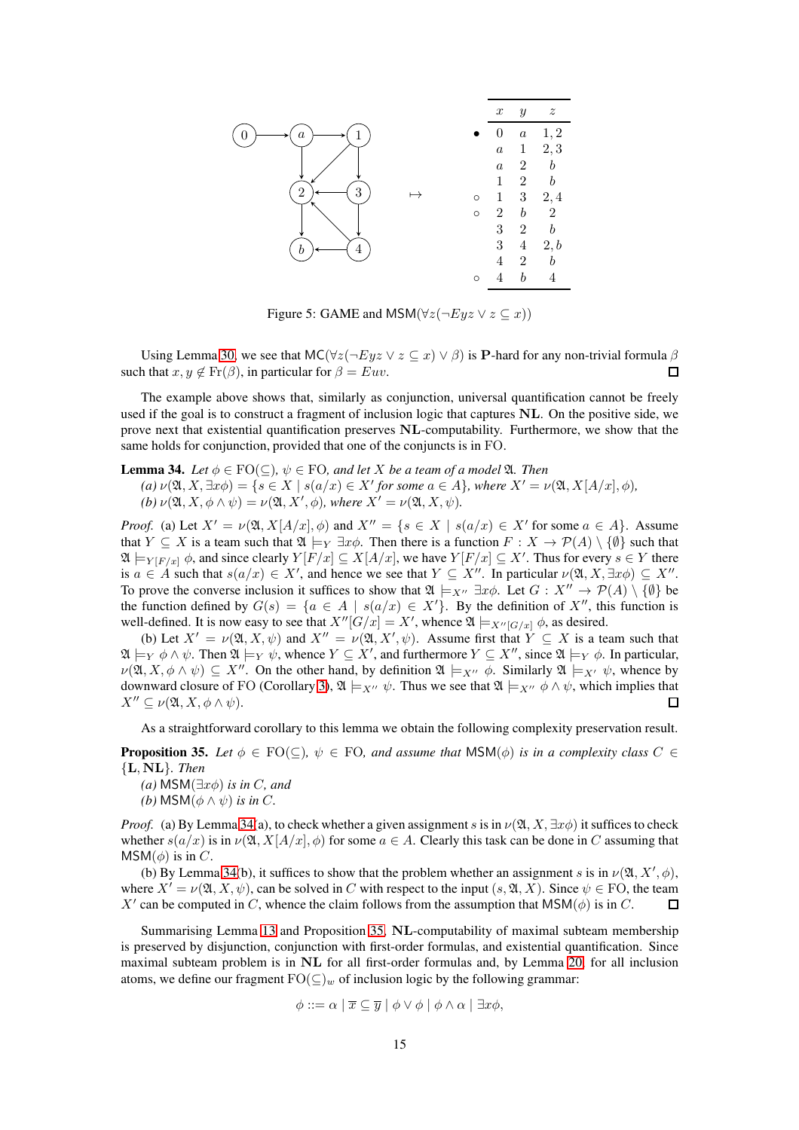

Figure 5: GAME and MSM( $\forall z(\neg Eyz \lor z \subseteq x)$ )

Using Lemma [30,](#page-12-2) we see that  $MC(\forall z(\neg Eyz \lor z \subseteq x) \lor \beta)$  is P-hard for any non-trivial formula  $\beta$ such that  $x, y \notin Fr(\beta)$ , in particular for  $\beta = Euv$ .  $\Box$ 

The example above shows that, similarly as conjunction, universal quantification cannot be freely used if the goal is to construct a fragment of inclusion logic that captures NL. On the positive side, we prove next that existential quantification preserves NL-computability. Furthermore, we show that the same holds for conjunction, provided that one of the conjuncts is in FO.

<span id="page-14-0"></span>**Lemma 34.** *Let*  $\phi \in \text{FO}(\subseteq)$ ,  $\psi \in \text{FO}$ *, and let* X *be a team of a model*  $\mathfrak{A}$ *. Then* 

 $(a)$   $\nu(\mathfrak{A}, X, \exists x \phi) = \{s \in X \mid s(a/x) \in X' \text{ for some } a \in A\}$ , where  $X' = \nu(\mathfrak{A}, X[A/x], \phi)$ , *(b)*  $\nu(\mathfrak{A}, X, \phi \wedge \psi) = \nu(\mathfrak{A}, X', \phi)$ *, where*  $X' = \nu(\mathfrak{A}, X, \psi)$ *.* 

*Proof.* (a) Let  $X' = \nu(\mathfrak{A}, X[A/x], \phi)$  and  $X'' = \{s \in X \mid s(a/x) \in X' \text{ for some } a \in A\}$ . Assume that  $Y \subseteq X$  is a team such that  $\mathfrak{A} \models_Y \exists x \phi$ . Then there is a function  $F : X \to \mathcal{P}(A) \setminus \{\emptyset\}$  such that  $\mathfrak{A}\models_{Y[F/x]} \phi$ , and since clearly  $Y[F/x] \subseteq X[A/x]$ , we have  $Y[F/x] \subseteq X'$ . Thus for every  $s \in Y$  there is  $a \in A$  such that  $s(a/x) \in X'$ , and hence we see that  $Y \subseteq X''$ . In particular  $\nu(\mathfrak{A}, X, \exists x \phi) \subseteq X''$ . To prove the converse inclusion it suffices to show that  $\mathfrak{A} \models_{X''} \exists x \phi$ . Let  $G : X'' \to \mathcal{P}(A) \setminus \{\emptyset\}$  be the function defined by  $G(s) = \{a \in A \mid s(a/x) \in X'\}$ . By the definition of X'', this function is well-defined. It is now easy to see that  $X''[G/x] = X'$ , whence  $\mathfrak{A} \models_{X''[G/x]} \phi$ , as desired.

(b) Let  $X' = \nu(\mathfrak{A}, X, \psi)$  and  $X'' = \nu(\mathfrak{A}, X', \psi)$ . Assume first that  $Y \subseteq X$  is a team such that  $\mathfrak{A} \models_Y \phi \land \psi$ . Then  $\mathfrak{A} \models_Y \psi$ , whence  $Y \subseteq X'$ , and furthermore  $Y \subseteq X''$ , since  $\mathfrak{A} \models_Y \phi$ . In particular,  $\nu(\mathfrak{A}, X, \phi \wedge \psi) \subseteq X''$ . On the other hand, by definition  $\mathfrak{A} \models_{X''} \phi$ . Similarly  $\mathfrak{A} \models_{X'} \psi$ , whence by downward closure of FO (Corollary [3\)](#page-2-0),  $\mathfrak{A} \models_{X''} \psi$ . Thus we see that  $\mathfrak{A} \models_{X''} \phi \land \psi$ , which implies that  $X'' \subseteq \nu(\mathfrak{A}, X, \phi \wedge \psi).$ П

As a straightforward corollary to this lemma we obtain the following complexity preservation result.

<span id="page-14-1"></span>**Proposition 35.** Let  $\phi \in \text{FO}(\subseteq)$ ,  $\psi \in \text{FO}$ , and assume that  $\text{MSM}(\phi)$  is in a complexity class  $C \in$ {L, NL}*. Then*

- *(a)* MSM(∃xφ) *is in* C*, and*
- *(b)* MSM $(\phi \land \psi)$  *is in C*.

*Proof.* (a) By Lemma [34\(](#page-14-0)a), to check whether a given assignment s is in  $\nu(\mathfrak{A}, X, \exists x \phi)$  it suffices to check whether  $s(a/x)$  is in  $\nu(\mathfrak{A}, X[A/x], \phi)$  for some  $a \in A$ . Clearly this task can be done in C assuming that  $MSM(\phi)$  is in C.

(b) By Lemma [34\(](#page-14-0)b), it suffices to show that the problem whether an assignment s is in  $\nu(\mathfrak{A}, X', \phi)$ , where  $X' = \nu(\mathfrak{A}, X, \psi)$ , can be solved in C with respect to the input  $(s, \mathfrak{A}, X)$ . Since  $\psi \in FO$ , the team X' can be computed in C, whence the claim follows from the assumption that  $\mathsf{MSM}(\phi)$  is in C.  $\Box$ 

Summarising Lemma [13](#page-4-3) and Proposition [35,](#page-14-1) NL-computability of maximal subteam membership is preserved by disjunction, conjunction with first-order formulas, and existential quantification. Since maximal subteam problem is in NL for all first-order formulas and, by Lemma [20,](#page-7-1) for all inclusion atoms, we define our fragment  $\text{FO}(\subseteq)_w$  of inclusion logic by the following grammar:

$$
\phi ::= \alpha \mid \overline{x} \subseteq \overline{y} \mid \phi \vee \phi \mid \phi \wedge \alpha \mid \exists x \phi,
$$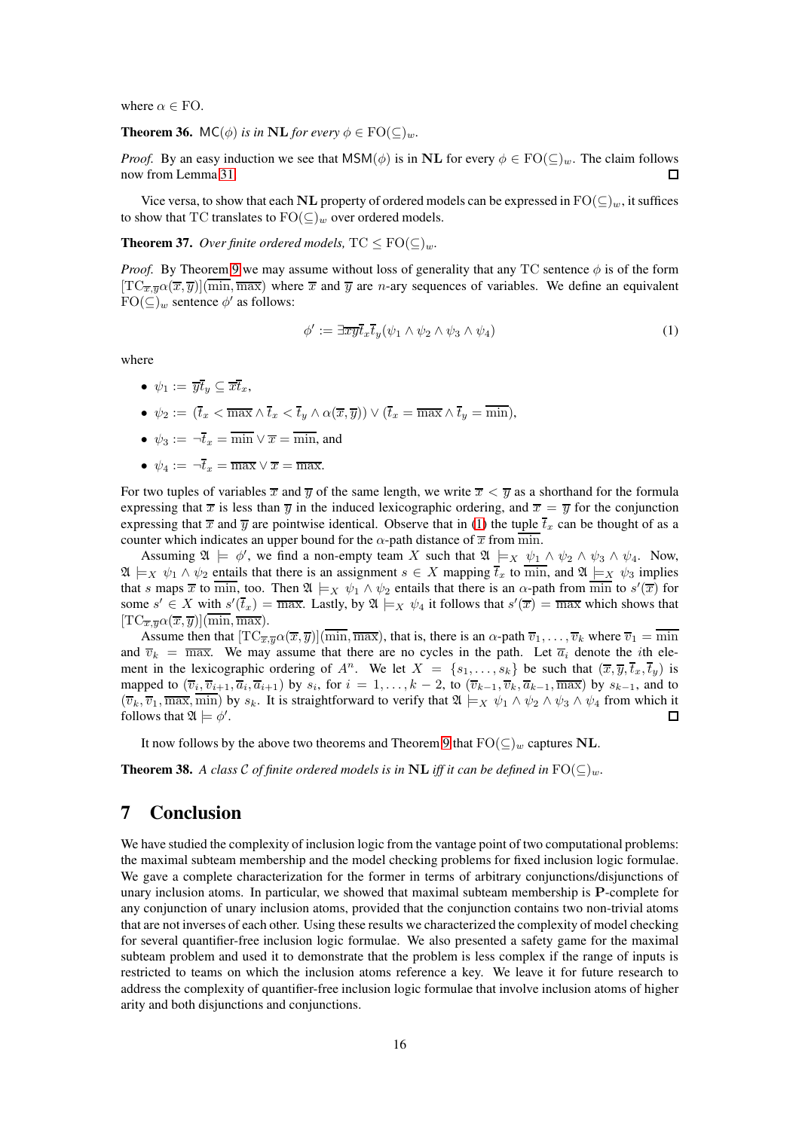where  $\alpha \in \text{FO}$ .

**Theorem 36.** MC( $\phi$ ) *is in* **NL** *for every*  $\phi \in \text{FO}(\subseteq)_{w}$ *.* 

*Proof.* By an easy induction we see that  $MSM(\phi)$  is in NL for every  $\phi \in FO(\subseteq)_{w}$ . The claim follows now from Lemma [31.](#page-12-3)  $\Box$ 

Vice versa, to show that each NL property of ordered models can be expressed in  $\text{FO}(\subseteq)_w$ , it suffices to show that TC translates to  $FO(\subseteq)_{w}$  over ordered models.

**Theorem 37.** *Over finite ordered models,*  $TC \le FO(C)_{w}$ *.* 

*Proof.* By Theorem [9](#page-3-2) we may assume without loss of generality that any TC sentence  $\phi$  is of the form  $[TC_{\overline{x},\overline{y}}\alpha(\overline{x},\overline{y})](\overline{\min},\overline{\max})$  where  $\overline{x}$  and  $\overline{y}$  are *n*-ary sequences of variables. We define an equivalent  $FO(\subseteq)_{w}$  sentence  $\phi'$  as follows:

<span id="page-15-0"></span>
$$
\phi' := \exists \overline{xy} \overline{t}_x \overline{t}_y (\psi_1 \wedge \psi_2 \wedge \psi_3 \wedge \psi_4) \tag{1}
$$

where

- $\psi_1 := \overline{yt}_y \subseteq \overline{xt}_x$ ,
- $\psi_2 := (\overline{t}_x < \overline{\max} \wedge \overline{t}_x < \overline{t}_y \wedge \alpha(\overline{x}, \overline{y})) \vee (\overline{t}_x = \overline{\max} \wedge \overline{t}_y = \overline{\min}),$
- $\psi_3 := \overline{-t}_x = \overline{\min} \vee \overline{x} = \overline{\min}$ , and
- $\psi_4 := \neg \overline{t}_x = \overline{\max} \vee \overline{x} = \overline{\max}.$

For two tuples of variables  $\overline{x}$  and  $\overline{y}$  of the same length, we write  $\overline{x} < \overline{y}$  as a shorthand for the formula expressing that  $\bar{x}$  is less than  $\bar{y}$  in the induced lexicographic ordering, and  $\bar{x} = \bar{y}$  for the conjunction expressing that  $\bar{x}$  and  $\bar{y}$  are pointwise identical. Observe that in [\(1\)](#page-15-0) the tuple  $\bar{t}_x$  can be thought of as a counter which indicates an upper bound for the  $\alpha$ -path distance of  $\overline{x}$  from min.

Assuming  $\mathfrak{A} \models \phi'$ , we find a non-empty team X such that  $\mathfrak{A} \models_X \psi_1 \land \psi_2 \land \psi_3 \land \psi_4$ . Now,  $\mathfrak{A} \models_X \psi_1 \wedge \psi_2$  entails that there is an assignment  $s \in X$  mapping  $\overline{t}_x$  to  $\overline{\min}$ , and  $\mathfrak{A} \models_X \psi_3$  implies that s maps  $\overline{x}$  to  $\overline{\min}$ , too. Then  $\mathfrak{A} \models_X \psi_1 \wedge \psi_2$  entails that there is an  $\alpha$ -path from  $\overline{\min}$  to  $s'(\overline{x})$  for some  $s' \in X$  with  $s'(\overline{t}_x) = \overline{\max}$ . Lastly, by  $\mathfrak{A} \models_X \psi_4$  it follows that  $s'(\overline{x}) = \overline{\max}$  which shows that  $[TC_{\overline{x},\overline{y}}\alpha(\overline{x},\overline{y})](\overline{\min},\overline{\max}).$ 

Assume then that  $[TC_{\overline{x},\overline{y}}\alpha(\overline{x},\overline{y})](\overline{\min},\overline{\max})$ , that is, there is an  $\alpha$ -path  $\overline{v}_1,\ldots,\overline{v}_k$  where  $\overline{v}_1 = \overline{\min}$ and  $\overline{v}_k = \overline{\max}$ . We may assume that there are no cycles in the path. Let  $\overline{a}_i$  denote the *i*th element in the lexicographic ordering of  $A^n$ . We let  $X = \{s_1, \ldots, s_k\}$  be such that  $(\overline{x}, \overline{y}, \overline{t_x}, \overline{t_y})$  is mapped to  $(\overline{v}_i, \overline{v}_{i+1}, \overline{a}_i, \overline{a}_{i+1})$  by  $s_i$ , for  $i = 1, \ldots, k-2$ , to  $(\overline{v}_{k-1}, \overline{v}_k, \overline{a}_{k-1}, \overline{\max})$  by  $s_{k-1}$ , and to  $(\overline{v}_k, \overline{v}_1, \overline{\max}, \overline{\min})$  by  $s_k$ . It is straightforward to verify that  $\mathfrak{A} \models_X \psi_1 \wedge \psi_2 \wedge \psi_3 \wedge \psi_4$  from which it follows that  $\mathfrak{A} \models \phi'.$  $\Box$ 

It now follows by the above two theorems and Theorem [9](#page-3-2) that  $FO(\subseteq)_w$  captures NL.

**Theorem 38.** A class C of finite ordered models is in NL iff it can be defined in  $\text{FO}(\subseteq)_w$ .

# 7 Conclusion

We have studied the complexity of inclusion logic from the vantage point of two computational problems: the maximal subteam membership and the model checking problems for fixed inclusion logic formulae. We gave a complete characterization for the former in terms of arbitrary conjunctions/disjunctions of unary inclusion atoms. In particular, we showed that maximal subteam membership is P-complete for any conjunction of unary inclusion atoms, provided that the conjunction contains two non-trivial atoms that are not inverses of each other. Using these results we characterized the complexity of model checking for several quantifier-free inclusion logic formulae. We also presented a safety game for the maximal subteam problem and used it to demonstrate that the problem is less complex if the range of inputs is restricted to teams on which the inclusion atoms reference a key. We leave it for future research to address the complexity of quantifier-free inclusion logic formulae that involve inclusion atoms of higher arity and both disjunctions and conjunctions.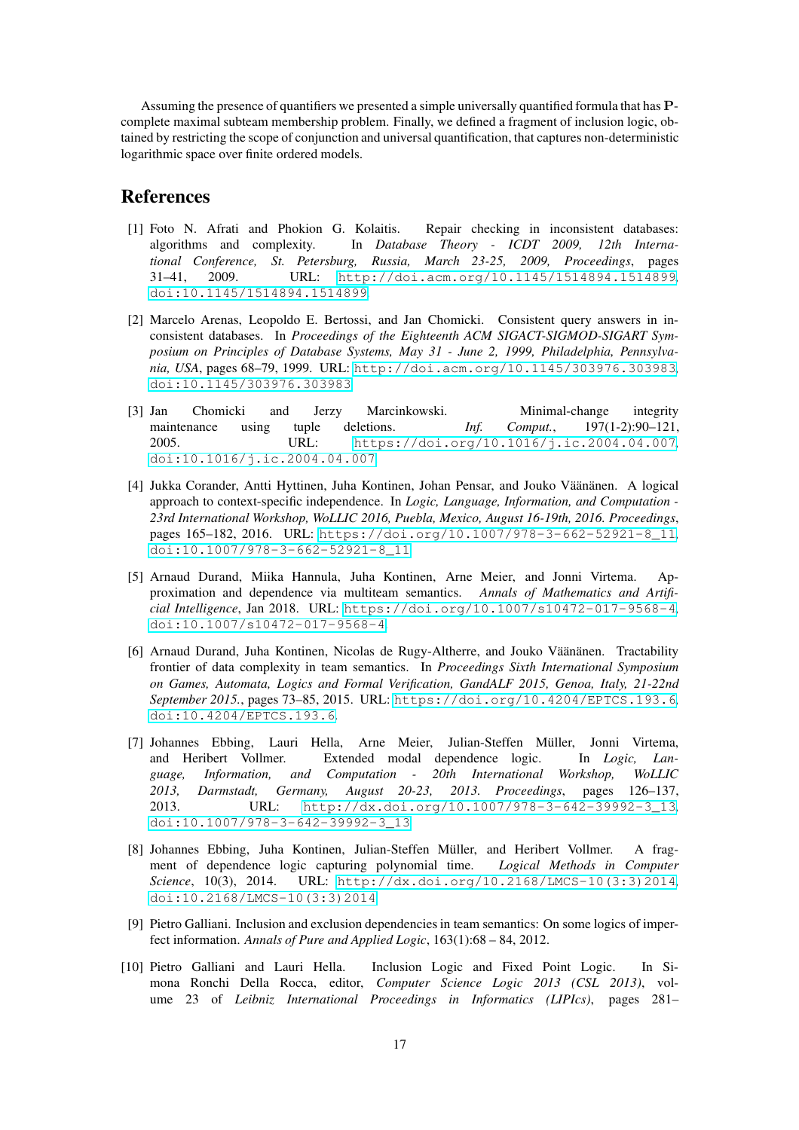Assuming the presence of quantifiers we presented a simple universally quantified formula that has Pcomplete maximal subteam membership problem. Finally, we defined a fragment of inclusion logic, obtained by restricting the scope of conjunction and universal quantification, that captures non-deterministic logarithmic space over finite ordered models.

## <span id="page-16-7"></span>References

- [1] Foto N. Afrati and Phokion G. Kolaitis. Repair checking in inconsistent databases: algorithms and complexity. In *Database Theory - ICDT 2009, 12th International Conference, St. Petersburg, Russia, March 23-25, 2009, Proceedings*, pages 31–41, 2009. URL: <http://doi.acm.org/10.1145/1514894.1514899>, [doi:10.1145/1514894.1514899](http://dx.doi.org/10.1145/1514894.1514899).
- <span id="page-16-5"></span>[2] Marcelo Arenas, Leopoldo E. Bertossi, and Jan Chomicki. Consistent query answers in inconsistent databases. In *Proceedings of the Eighteenth ACM SIGACT-SIGMOD-SIGART Symposium on Principles of Database Systems, May 31 - June 2, 1999, Philadelphia, Pennsylvania, USA*, pages 68–79, 1999. URL: <http://doi.acm.org/10.1145/303976.303983>, [doi:10.1145/303976.303983](http://dx.doi.org/10.1145/303976.303983).
- <span id="page-16-6"></span>[3] Jan Chomicki and Jerzy Marcinkowski. Minimal-change integrity maintenance using tuple deletions. *Inf. Comput.*, 197(1-2):90–121, 2005. URL: <https://doi.org/10.1016/j.ic.2004.04.007>, [doi:10.1016/j.ic.2004.04.007](http://dx.doi.org/10.1016/j.ic.2004.04.007).
- <span id="page-16-3"></span>[4] Jukka Corander, Antti Hyttinen, Juha Kontinen, Johan Pensar, and Jouko Väänänen. A logical approach to context-specific independence. In *Logic, Language, Information, and Computation - 23rd International Workshop, WoLLIC 2016, Puebla, Mexico, August 16-19th, 2016. Proceedings*, pages 165–182, 2016. URL: [https://doi.org/10.1007/978-3-662-52921-8\\_11](https://doi.org/10.1007/978-3-662-52921-8_11), [doi:10.1007/978-3-662-52921-8\\_11](http://dx.doi.org/10.1007/978-3-662-52921-8_11).
- <span id="page-16-2"></span>[5] Arnaud Durand, Miika Hannula, Juha Kontinen, Arne Meier, and Jonni Virtema. Approximation and dependence via multiteam semantics. *Annals of Mathematics and Artificial Intelligence*, Jan 2018. URL: <https://doi.org/10.1007/s10472-017-9568-4>, [doi:10.1007/s10472-017-9568-4](http://dx.doi.org/10.1007/s10472-017-9568-4).
- <span id="page-16-8"></span>[6] Arnaud Durand, Juha Kontinen, Nicolas de Rugy-Altherre, and Jouko Väänänen. Tractability frontier of data complexity in team semantics. In *Proceedings Sixth International Symposium on Games, Automata, Logics and Formal Verification, GandALF 2015, Genoa, Italy, 21-22nd September 2015.*, pages 73–85, 2015. URL: <https://doi.org/10.4204/EPTCS.193.6>, [doi:10.4204/EPTCS.193.6](http://dx.doi.org/10.4204/EPTCS.193.6).
- <span id="page-16-1"></span>[7] Johannes Ebbing, Lauri Hella, Arne Meier, Julian-Steffen Müller, Jonni Virtema, and Heribert Vollmer. Extended modal dependence logic. In *Logic, Language, Information, and Computation - 20th International Workshop, WoLLIC 2013, Darmstadt, Germany, August 20-23, 2013. Proceedings*, pages 126–137, 2013. URL: [http://dx.doi.org/10.1007/978-3-642-39992-3\\_13](http://dx.doi.org/10.1007/978-3-642-39992-3_13), [doi:10.1007/978-3-642-39992-3\\_13](http://dx.doi.org/10.1007/978-3-642-39992-3_13).
- <span id="page-16-9"></span>[8] Johannes Ebbing, Juha Kontinen, Julian-Steffen Müller, and Heribert Vollmer. A fragment of dependence logic capturing polynomial time. *Logical Methods in Computer Science*, 10(3), 2014. URL: [http://dx.doi.org/10.2168/LMCS-10\(3:3\)2014](http://dx.doi.org/10.2168/LMCS-10(3:3)2014), [doi:10.2168/LMCS-10\(3:3\)2014](http://dx.doi.org/10.2168/LMCS-10(3:3)2014).
- <span id="page-16-0"></span>[9] Pietro Galliani. Inclusion and exclusion dependenciesin team semantics: On some logics of imperfect information. *Annals of Pure and Applied Logic*, 163(1):68 – 84, 2012.
- <span id="page-16-4"></span>[10] Pietro Galliani and Lauri Hella. Inclusion Logic and Fixed Point Logic. In Simona Ronchi Della Rocca, editor, *Computer Science Logic 2013 (CSL 2013)*, volume 23 of *Leibniz International Proceedings in Informatics (LIPIcs)*, pages 281–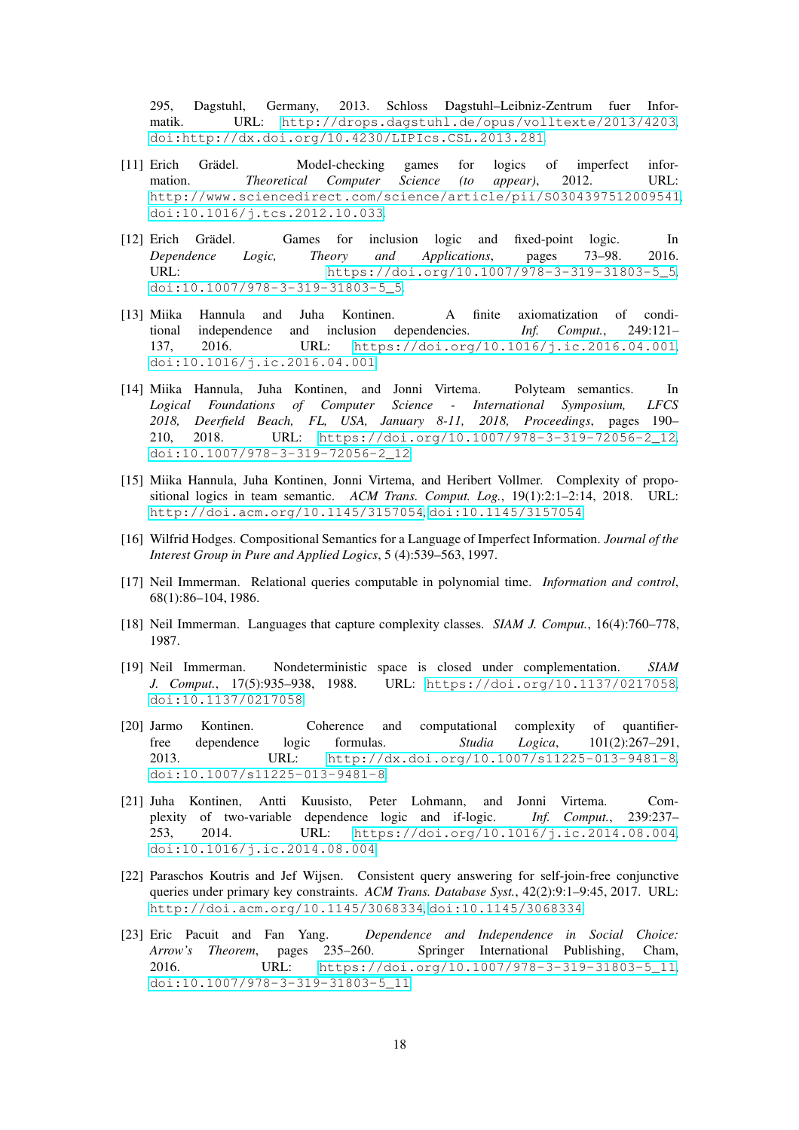295, Dagstuhl, Germany, 2013. Schloss Dagstuhl–Leibniz-Zentrum fuer Informatik. URL: <http://drops.dagstuhl.de/opus/volltexte/2013/4203>, [doi:http://dx.doi.org/10.4230/LIPIcs.CSL.2013.281](http://dx.doi.org/http://dx.doi.org/10.4230/LIPIcs.CSL.2013.281).

- <span id="page-17-6"></span>[11] Erich Grädel. Model-checking games for logics of imperfect information. *Theoretical Computer Science (to appear)*, 2012. URL: <http://www.sciencedirect.com/science/article/pii/S0304397512009541>, [doi:10.1016/j.tcs.2012.10.033](http://dx.doi.org/10.1016/j.tcs.2012.10.033).
- <span id="page-17-12"></span>[12] Erich Grädel. Games for inclusion logic and fixed-point logic. In *Dependence Logic, Theory and Applications*, pages 73–98. 2016. URL: [https://doi.org/10.1007/978-3-319-31803-5\\_5](https://doi.org/10.1007/978-3-319-31803-5_5), [doi:10.1007/978-3-319-31803-5\\_5](http://dx.doi.org/10.1007/978-3-319-31803-5_5).
- <span id="page-17-2"></span>[13] Miika Hannula and Juha Kontinen. A finite axiomatization of conditional independence and inclusion dependencies. *Inf. Comput.*, 249:121– 137, 2016. URL: <https://doi.org/10.1016/j.ic.2016.04.001>, [doi:10.1016/j.ic.2016.04.001](http://dx.doi.org/10.1016/j.ic.2016.04.001).
- <span id="page-17-3"></span>[14] Miika Hannula, Juha Kontinen, and Jonni Virtema. Polyteam semantics. In *Logical Foundations of Computer Science - International Symposium, LFCS 2018, Deerfield Beach, FL, USA, January 8-11, 2018, Proceedings*, pages 190– 210, 2018. URL: [https://doi.org/10.1007/978-3-319-72056-2\\_12](https://doi.org/10.1007/978-3-319-72056-2_12), [doi:10.1007/978-3-319-72056-2\\_12](http://dx.doi.org/10.1007/978-3-319-72056-2_12).
- <span id="page-17-0"></span>[15] Miika Hannula, Juha Kontinen, Jonni Virtema, and Heribert Vollmer. Complexity of propositional logics in team semantic. *ACM Trans. Comput. Log.*, 19(1):2:1–2:14, 2018. URL: <http://doi.acm.org/10.1145/3157054>, [doi:10.1145/3157054](http://dx.doi.org/10.1145/3157054).
- <span id="page-17-5"></span>[16] Wilfrid Hodges. Compositional Semantics for a Language of Imperfect Information. *Journal of the Interest Group in Pure and Applied Logics*, 5 (4):539–563, 1997.
- <span id="page-17-11"></span>[17] Neil Immerman. Relational queries computable in polynomial time. *Information and control*, 68(1):86–104, 1986.
- <span id="page-17-10"></span><span id="page-17-9"></span>[18] Neil Immerman. Languages that capture complexity classes. *SIAM J. Comput.*, 16(4):760–778, 1987.
- [19] Neil Immerman. Nondeterministic space is closed under complementation. *SIAM J. Comput.*, 17(5):935–938, 1988. URL: <https://doi.org/10.1137/0217058>, [doi:10.1137/0217058](http://dx.doi.org/10.1137/0217058).
- <span id="page-17-8"></span>[20] Jarmo Kontinen. Coherence and computational complexity of quantifierfree dependence logic formulas. *Studia Logica*, 101(2):267–291, 2013. URL: <http://dx.doi.org/10.1007/s11225-013-9481-8>, [doi:10.1007/s11225-013-9481-8](http://dx.doi.org/10.1007/s11225-013-9481-8).
- <span id="page-17-1"></span>[21] Juha Kontinen, Antti Kuusisto, Peter Lohmann, and Jonni Virtema. Complexity of two-variable dependence logic and if-logic. *Inf. Comput.*, 239:237– 253, 2014. URL: <https://doi.org/10.1016/j.ic.2014.08.004>, [doi:10.1016/j.ic.2014.08.004](http://dx.doi.org/10.1016/j.ic.2014.08.004).
- <span id="page-17-7"></span>[22] Paraschos Koutris and Jef Wijsen. Consistent query answering for self-join-free conjunctive queries under primary key constraints. *ACM Trans. Database Syst.*, 42(2):9:1–9:45, 2017. URL: <http://doi.acm.org/10.1145/3068334>, [doi:10.1145/3068334](http://dx.doi.org/10.1145/3068334).
- <span id="page-17-4"></span>[23] Eric Pacuit and Fan Yang. *Dependence and Independence in Social Choice: Arrow's Theorem*, pages 235–260. Springer International Publishing, Cham, 2016. URL: [https://doi.org/10.1007/978-3-319-31803-5\\_11](https://doi.org/10.1007/978-3-319-31803-5_11), [doi:10.1007/978-3-319-31803-5\\_11](http://dx.doi.org/10.1007/978-3-319-31803-5_11).